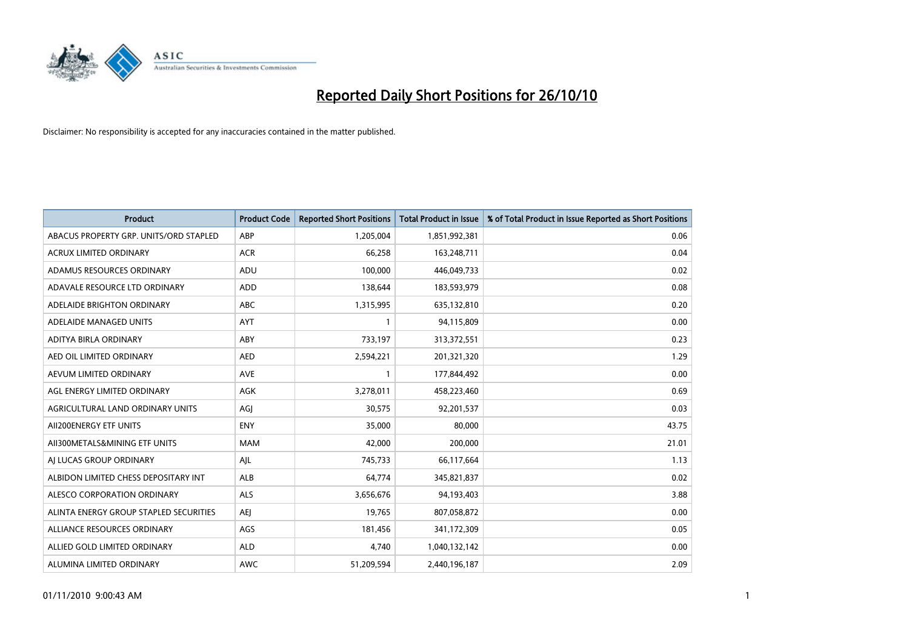

| <b>Product</b>                         | <b>Product Code</b> | <b>Reported Short Positions</b> | <b>Total Product in Issue</b> | % of Total Product in Issue Reported as Short Positions |
|----------------------------------------|---------------------|---------------------------------|-------------------------------|---------------------------------------------------------|
| ABACUS PROPERTY GRP. UNITS/ORD STAPLED | ABP                 | 1,205,004                       | 1,851,992,381                 | 0.06                                                    |
| ACRUX LIMITED ORDINARY                 | <b>ACR</b>          | 66,258                          | 163,248,711                   | 0.04                                                    |
| ADAMUS RESOURCES ORDINARY              | ADU                 | 100,000                         | 446,049,733                   | 0.02                                                    |
| ADAVALE RESOURCE LTD ORDINARY          | ADD                 | 138,644                         | 183,593,979                   | 0.08                                                    |
| ADELAIDE BRIGHTON ORDINARY             | <b>ABC</b>          | 1,315,995                       | 635,132,810                   | 0.20                                                    |
| ADELAIDE MANAGED UNITS                 | <b>AYT</b>          |                                 | 94,115,809                    | 0.00                                                    |
| ADITYA BIRLA ORDINARY                  | ABY                 | 733,197                         | 313,372,551                   | 0.23                                                    |
| AED OIL LIMITED ORDINARY               | <b>AED</b>          | 2,594,221                       | 201,321,320                   | 1.29                                                    |
| AEVUM LIMITED ORDINARY                 | <b>AVE</b>          |                                 | 177,844,492                   | 0.00                                                    |
| AGL ENERGY LIMITED ORDINARY            | <b>AGK</b>          | 3,278,011                       | 458,223,460                   | 0.69                                                    |
| AGRICULTURAL LAND ORDINARY UNITS       | AGJ                 | 30,575                          | 92,201,537                    | 0.03                                                    |
| AII200ENERGY ETF UNITS                 | <b>ENY</b>          | 35,000                          | 80,000                        | 43.75                                                   |
| AII300METALS&MINING ETF UNITS          | <b>MAM</b>          | 42,000                          | 200,000                       | 21.01                                                   |
| AI LUCAS GROUP ORDINARY                | AJL                 | 745,733                         | 66,117,664                    | 1.13                                                    |
| ALBIDON LIMITED CHESS DEPOSITARY INT   | <b>ALB</b>          | 64,774                          | 345,821,837                   | 0.02                                                    |
| ALESCO CORPORATION ORDINARY            | ALS                 | 3,656,676                       | 94,193,403                    | 3.88                                                    |
| ALINTA ENERGY GROUP STAPLED SECURITIES | <b>AEI</b>          | 19,765                          | 807,058,872                   | 0.00                                                    |
| ALLIANCE RESOURCES ORDINARY            | AGS                 | 181,456                         | 341,172,309                   | 0.05                                                    |
| ALLIED GOLD LIMITED ORDINARY           | <b>ALD</b>          | 4.740                           | 1,040,132,142                 | 0.00                                                    |
| ALUMINA LIMITED ORDINARY               | <b>AWC</b>          | 51,209,594                      | 2,440,196,187                 | 2.09                                                    |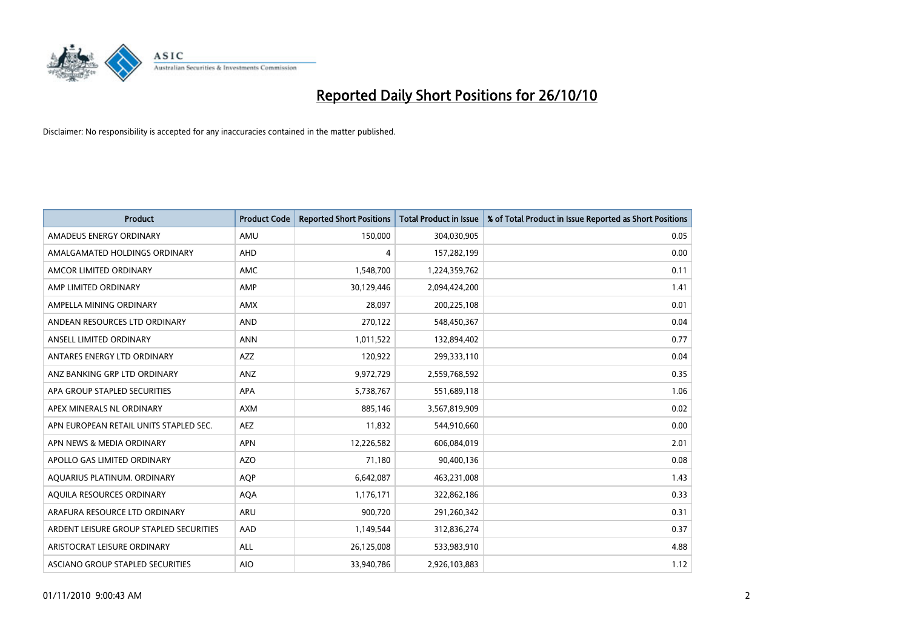

| <b>Product</b>                          | <b>Product Code</b> | <b>Reported Short Positions</b> | <b>Total Product in Issue</b> | % of Total Product in Issue Reported as Short Positions |
|-----------------------------------------|---------------------|---------------------------------|-------------------------------|---------------------------------------------------------|
| AMADEUS ENERGY ORDINARY                 | AMU                 | 150,000                         | 304,030,905                   | 0.05                                                    |
| AMALGAMATED HOLDINGS ORDINARY           | AHD                 | 4                               | 157,282,199                   | 0.00                                                    |
| AMCOR LIMITED ORDINARY                  | <b>AMC</b>          | 1,548,700                       | 1,224,359,762                 | 0.11                                                    |
| AMP LIMITED ORDINARY                    | AMP                 | 30,129,446                      | 2,094,424,200                 | 1.41                                                    |
| AMPELLA MINING ORDINARY                 | <b>AMX</b>          | 28,097                          | 200,225,108                   | 0.01                                                    |
| ANDEAN RESOURCES LTD ORDINARY           | <b>AND</b>          | 270,122                         | 548,450,367                   | 0.04                                                    |
| ANSELL LIMITED ORDINARY                 | <b>ANN</b>          | 1,011,522                       | 132,894,402                   | 0.77                                                    |
| ANTARES ENERGY LTD ORDINARY             | <b>AZZ</b>          | 120,922                         | 299,333,110                   | 0.04                                                    |
| ANZ BANKING GRP LTD ORDINARY            | ANZ                 | 9,972,729                       | 2,559,768,592                 | 0.35                                                    |
| APA GROUP STAPLED SECURITIES            | <b>APA</b>          | 5,738,767                       | 551,689,118                   | 1.06                                                    |
| APEX MINERALS NL ORDINARY               | <b>AXM</b>          | 885,146                         | 3,567,819,909                 | 0.02                                                    |
| APN EUROPEAN RETAIL UNITS STAPLED SEC.  | <b>AEZ</b>          | 11,832                          | 544,910,660                   | 0.00                                                    |
| APN NEWS & MEDIA ORDINARY               | <b>APN</b>          | 12,226,582                      | 606,084,019                   | 2.01                                                    |
| APOLLO GAS LIMITED ORDINARY             | <b>AZO</b>          | 71,180                          | 90,400,136                    | 0.08                                                    |
| AQUARIUS PLATINUM. ORDINARY             | <b>AOP</b>          | 6,642,087                       | 463,231,008                   | 1.43                                                    |
| AQUILA RESOURCES ORDINARY               | <b>AQA</b>          | 1,176,171                       | 322,862,186                   | 0.33                                                    |
| ARAFURA RESOURCE LTD ORDINARY           | <b>ARU</b>          | 900,720                         | 291,260,342                   | 0.31                                                    |
| ARDENT LEISURE GROUP STAPLED SECURITIES | AAD                 | 1,149,544                       | 312,836,274                   | 0.37                                                    |
| ARISTOCRAT LEISURE ORDINARY             | ALL                 | 26,125,008                      | 533,983,910                   | 4.88                                                    |
| ASCIANO GROUP STAPLED SECURITIES        | <b>AIO</b>          | 33,940,786                      | 2,926,103,883                 | 1.12                                                    |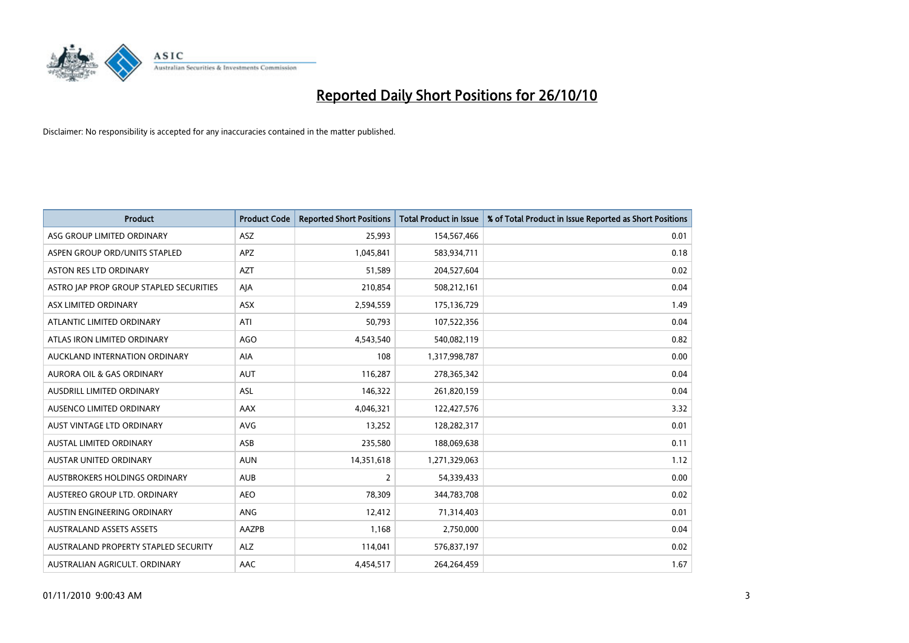

| <b>Product</b>                          | <b>Product Code</b> | <b>Reported Short Positions</b> | Total Product in Issue | % of Total Product in Issue Reported as Short Positions |
|-----------------------------------------|---------------------|---------------------------------|------------------------|---------------------------------------------------------|
| ASG GROUP LIMITED ORDINARY              | <b>ASZ</b>          | 25,993                          | 154,567,466            | 0.01                                                    |
| ASPEN GROUP ORD/UNITS STAPLED           | APZ                 | 1,045,841                       | 583,934,711            | 0.18                                                    |
| <b>ASTON RES LTD ORDINARY</b>           | <b>AZT</b>          | 51,589                          | 204,527,604            | 0.02                                                    |
| ASTRO JAP PROP GROUP STAPLED SECURITIES | AJA                 | 210,854                         | 508,212,161            | 0.04                                                    |
| ASX LIMITED ORDINARY                    | ASX                 | 2,594,559                       | 175,136,729            | 1.49                                                    |
| ATLANTIC LIMITED ORDINARY               | ATI                 | 50,793                          | 107,522,356            | 0.04                                                    |
| ATLAS IRON LIMITED ORDINARY             | AGO                 | 4,543,540                       | 540,082,119            | 0.82                                                    |
| AUCKLAND INTERNATION ORDINARY           | AIA                 | 108                             | 1,317,998,787          | 0.00                                                    |
| <b>AURORA OIL &amp; GAS ORDINARY</b>    | <b>AUT</b>          | 116,287                         | 278,365,342            | 0.04                                                    |
| AUSDRILL LIMITED ORDINARY               | <b>ASL</b>          | 146,322                         | 261,820,159            | 0.04                                                    |
| AUSENCO LIMITED ORDINARY                | AAX                 | 4,046,321                       | 122,427,576            | 3.32                                                    |
| AUST VINTAGE LTD ORDINARY               | <b>AVG</b>          | 13,252                          | 128,282,317            | 0.01                                                    |
| AUSTAL LIMITED ORDINARY                 | ASB                 | 235,580                         | 188,069,638            | 0.11                                                    |
| <b>AUSTAR UNITED ORDINARY</b>           | <b>AUN</b>          | 14,351,618                      | 1,271,329,063          | 1.12                                                    |
| AUSTBROKERS HOLDINGS ORDINARY           | <b>AUB</b>          | $\overline{2}$                  | 54,339,433             | 0.00                                                    |
| AUSTEREO GROUP LTD. ORDINARY            | <b>AEO</b>          | 78,309                          | 344,783,708            | 0.02                                                    |
| AUSTIN ENGINEERING ORDINARY             | ANG                 | 12,412                          | 71,314,403             | 0.01                                                    |
| <b>AUSTRALAND ASSETS ASSETS</b>         | AAZPB               | 1,168                           | 2,750,000              | 0.04                                                    |
| AUSTRALAND PROPERTY STAPLED SECURITY    | <b>ALZ</b>          | 114,041                         | 576,837,197            | 0.02                                                    |
| AUSTRALIAN AGRICULT. ORDINARY           | AAC                 | 4,454,517                       | 264,264,459            | 1.67                                                    |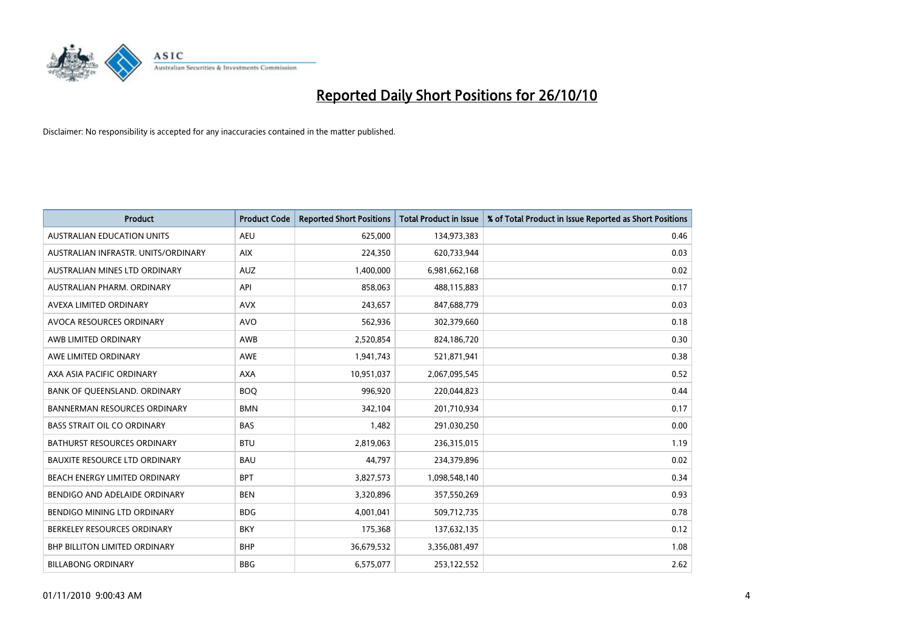

| <b>Product</b>                       | <b>Product Code</b> | <b>Reported Short Positions</b> | <b>Total Product in Issue</b> | % of Total Product in Issue Reported as Short Positions |
|--------------------------------------|---------------------|---------------------------------|-------------------------------|---------------------------------------------------------|
| <b>AUSTRALIAN EDUCATION UNITS</b>    | <b>AEU</b>          | 625.000                         | 134,973,383                   | 0.46                                                    |
| AUSTRALIAN INFRASTR, UNITS/ORDINARY  | <b>AIX</b>          | 224,350                         | 620,733,944                   | 0.03                                                    |
| AUSTRALIAN MINES LTD ORDINARY        | <b>AUZ</b>          | 1,400,000                       | 6,981,662,168                 | 0.02                                                    |
| AUSTRALIAN PHARM. ORDINARY           | API                 | 858,063                         | 488,115,883                   | 0.17                                                    |
| AVEXA LIMITED ORDINARY               | <b>AVX</b>          | 243,657                         | 847,688,779                   | 0.03                                                    |
| AVOCA RESOURCES ORDINARY             | <b>AVO</b>          | 562,936                         | 302,379,660                   | 0.18                                                    |
| AWB LIMITED ORDINARY                 | AWB                 | 2,520,854                       | 824,186,720                   | 0.30                                                    |
| AWE LIMITED ORDINARY                 | <b>AWE</b>          | 1,941,743                       | 521,871,941                   | 0.38                                                    |
| AXA ASIA PACIFIC ORDINARY            | <b>AXA</b>          | 10,951,037                      | 2,067,095,545                 | 0.52                                                    |
| BANK OF OUEENSLAND, ORDINARY         | <b>BOO</b>          | 996,920                         | 220,044,823                   | 0.44                                                    |
| <b>BANNERMAN RESOURCES ORDINARY</b>  | <b>BMN</b>          | 342,104                         | 201,710,934                   | 0.17                                                    |
| <b>BASS STRAIT OIL CO ORDINARY</b>   | <b>BAS</b>          | 1,482                           | 291,030,250                   | 0.00                                                    |
| <b>BATHURST RESOURCES ORDINARY</b>   | <b>BTU</b>          | 2,819,063                       | 236,315,015                   | 1.19                                                    |
| <b>BAUXITE RESOURCE LTD ORDINARY</b> | <b>BAU</b>          | 44,797                          | 234,379,896                   | 0.02                                                    |
| BEACH ENERGY LIMITED ORDINARY        | <b>BPT</b>          | 3,827,573                       | 1,098,548,140                 | 0.34                                                    |
| BENDIGO AND ADELAIDE ORDINARY        | <b>BEN</b>          | 3,320,896                       | 357,550,269                   | 0.93                                                    |
| BENDIGO MINING LTD ORDINARY          | <b>BDG</b>          | 4,001,041                       | 509,712,735                   | 0.78                                                    |
| BERKELEY RESOURCES ORDINARY          | <b>BKY</b>          | 175,368                         | 137,632,135                   | 0.12                                                    |
| <b>BHP BILLITON LIMITED ORDINARY</b> | <b>BHP</b>          | 36,679,532                      | 3,356,081,497                 | 1.08                                                    |
| <b>BILLABONG ORDINARY</b>            | <b>BBG</b>          | 6,575,077                       | 253,122,552                   | 2.62                                                    |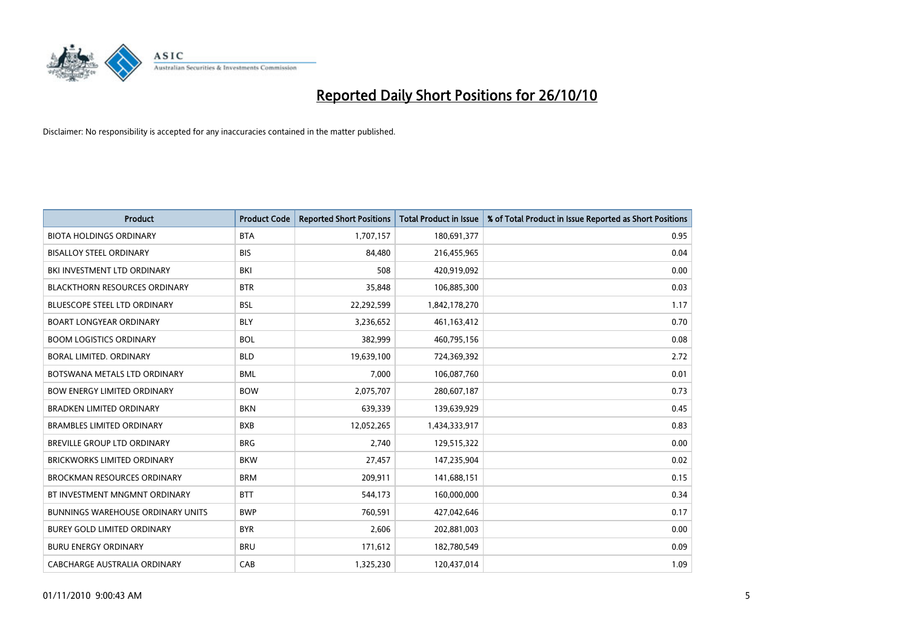

| <b>Product</b>                           | <b>Product Code</b> | <b>Reported Short Positions</b> | <b>Total Product in Issue</b> | % of Total Product in Issue Reported as Short Positions |
|------------------------------------------|---------------------|---------------------------------|-------------------------------|---------------------------------------------------------|
| <b>BIOTA HOLDINGS ORDINARY</b>           | <b>BTA</b>          | 1,707,157                       | 180,691,377                   | 0.95                                                    |
| <b>BISALLOY STEEL ORDINARY</b>           | <b>BIS</b>          | 84,480                          | 216,455,965                   | 0.04                                                    |
| BKI INVESTMENT LTD ORDINARY              | BKI                 | 508                             | 420,919,092                   | 0.00                                                    |
| <b>BLACKTHORN RESOURCES ORDINARY</b>     | <b>BTR</b>          | 35,848                          | 106,885,300                   | 0.03                                                    |
| <b>BLUESCOPE STEEL LTD ORDINARY</b>      | <b>BSL</b>          | 22,292,599                      | 1,842,178,270                 | 1.17                                                    |
| <b>BOART LONGYEAR ORDINARY</b>           | <b>BLY</b>          | 3,236,652                       | 461,163,412                   | 0.70                                                    |
| <b>BOOM LOGISTICS ORDINARY</b>           | <b>BOL</b>          | 382.999                         | 460,795,156                   | 0.08                                                    |
| BORAL LIMITED, ORDINARY                  | <b>BLD</b>          | 19,639,100                      | 724,369,392                   | 2.72                                                    |
| BOTSWANA METALS LTD ORDINARY             | <b>BML</b>          | 7,000                           | 106,087,760                   | 0.01                                                    |
| <b>BOW ENERGY LIMITED ORDINARY</b>       | <b>BOW</b>          | 2,075,707                       | 280,607,187                   | 0.73                                                    |
| <b>BRADKEN LIMITED ORDINARY</b>          | <b>BKN</b>          | 639,339                         | 139,639,929                   | 0.45                                                    |
| <b>BRAMBLES LIMITED ORDINARY</b>         | <b>BXB</b>          | 12,052,265                      | 1,434,333,917                 | 0.83                                                    |
| BREVILLE GROUP LTD ORDINARY              | <b>BRG</b>          | 2,740                           | 129,515,322                   | 0.00                                                    |
| <b>BRICKWORKS LIMITED ORDINARY</b>       | <b>BKW</b>          | 27,457                          | 147,235,904                   | 0.02                                                    |
| <b>BROCKMAN RESOURCES ORDINARY</b>       | <b>BRM</b>          | 209,911                         | 141,688,151                   | 0.15                                                    |
| BT INVESTMENT MNGMNT ORDINARY            | <b>BTT</b>          | 544,173                         | 160,000,000                   | 0.34                                                    |
| <b>BUNNINGS WAREHOUSE ORDINARY UNITS</b> | <b>BWP</b>          | 760,591                         | 427,042,646                   | 0.17                                                    |
| <b>BUREY GOLD LIMITED ORDINARY</b>       | <b>BYR</b>          | 2,606                           | 202,881,003                   | 0.00                                                    |
| <b>BURU ENERGY ORDINARY</b>              | <b>BRU</b>          | 171,612                         | 182,780,549                   | 0.09                                                    |
| <b>CABCHARGE AUSTRALIA ORDINARY</b>      | CAB                 | 1,325,230                       | 120,437,014                   | 1.09                                                    |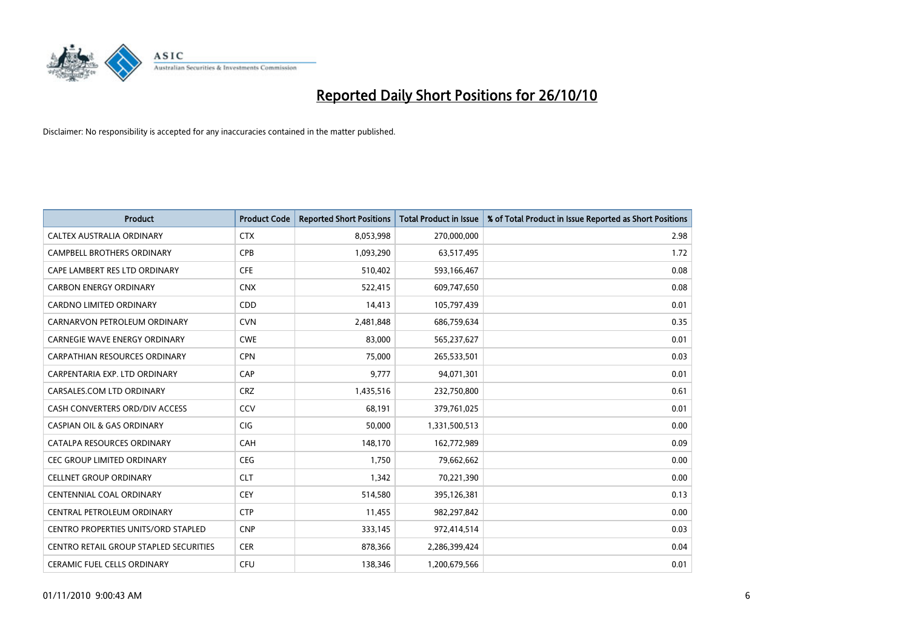

| <b>Product</b>                         | <b>Product Code</b> | <b>Reported Short Positions</b> | Total Product in Issue | % of Total Product in Issue Reported as Short Positions |
|----------------------------------------|---------------------|---------------------------------|------------------------|---------------------------------------------------------|
| CALTEX AUSTRALIA ORDINARY              | <b>CTX</b>          | 8,053,998                       | 270,000,000            | 2.98                                                    |
| CAMPBELL BROTHERS ORDINARY             | <b>CPB</b>          | 1,093,290                       | 63,517,495             | 1.72                                                    |
| CAPE LAMBERT RES LTD ORDINARY          | <b>CFE</b>          | 510,402                         | 593,166,467            | 0.08                                                    |
| <b>CARBON ENERGY ORDINARY</b>          | <b>CNX</b>          | 522,415                         | 609,747,650            | 0.08                                                    |
| <b>CARDNO LIMITED ORDINARY</b>         | CDD                 | 14,413                          | 105,797,439            | 0.01                                                    |
| CARNARVON PETROLEUM ORDINARY           | <b>CVN</b>          | 2,481,848                       | 686,759,634            | 0.35                                                    |
| <b>CARNEGIE WAVE ENERGY ORDINARY</b>   | <b>CWE</b>          | 83.000                          | 565,237,627            | 0.01                                                    |
| CARPATHIAN RESOURCES ORDINARY          | <b>CPN</b>          | 75,000                          | 265,533,501            | 0.03                                                    |
| CARPENTARIA EXP. LTD ORDINARY          | CAP                 | 9,777                           | 94,071,301             | 0.01                                                    |
| CARSALES.COM LTD ORDINARY              | <b>CRZ</b>          | 1,435,516                       | 232,750,800            | 0.61                                                    |
| CASH CONVERTERS ORD/DIV ACCESS         | CCV                 | 68,191                          | 379,761,025            | 0.01                                                    |
| <b>CASPIAN OIL &amp; GAS ORDINARY</b>  | <b>CIG</b>          | 50,000                          | 1,331,500,513          | 0.00                                                    |
| CATALPA RESOURCES ORDINARY             | CAH                 | 148,170                         | 162,772,989            | 0.09                                                    |
| <b>CEC GROUP LIMITED ORDINARY</b>      | CEG                 | 1,750                           | 79,662,662             | 0.00                                                    |
| <b>CELLNET GROUP ORDINARY</b>          | <b>CLT</b>          | 1,342                           | 70,221,390             | 0.00                                                    |
| CENTENNIAL COAL ORDINARY               | <b>CEY</b>          | 514,580                         | 395,126,381            | 0.13                                                    |
| CENTRAL PETROLEUM ORDINARY             | <b>CTP</b>          | 11,455                          | 982,297,842            | 0.00                                                    |
| CENTRO PROPERTIES UNITS/ORD STAPLED    | <b>CNP</b>          | 333,145                         | 972,414,514            | 0.03                                                    |
| CENTRO RETAIL GROUP STAPLED SECURITIES | <b>CER</b>          | 878,366                         | 2,286,399,424          | 0.04                                                    |
| <b>CERAMIC FUEL CELLS ORDINARY</b>     | CFU                 | 138.346                         | 1,200,679,566          | 0.01                                                    |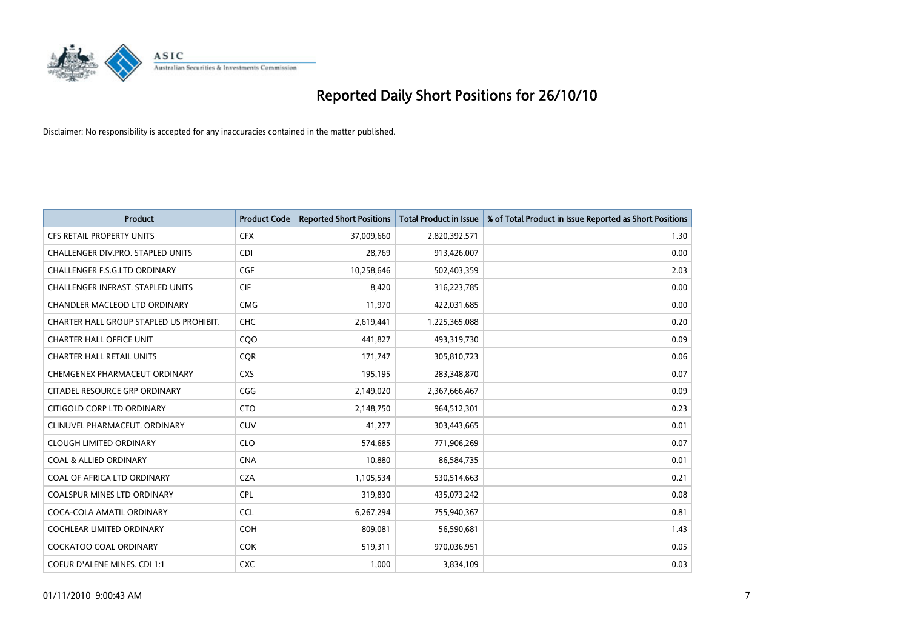

| <b>Product</b>                           | <b>Product Code</b> | <b>Reported Short Positions</b> | <b>Total Product in Issue</b> | % of Total Product in Issue Reported as Short Positions |
|------------------------------------------|---------------------|---------------------------------|-------------------------------|---------------------------------------------------------|
| <b>CFS RETAIL PROPERTY UNITS</b>         | <b>CFX</b>          | 37,009,660                      | 2,820,392,571                 | 1.30                                                    |
| CHALLENGER DIV.PRO. STAPLED UNITS        | <b>CDI</b>          | 28,769                          | 913,426,007                   | 0.00                                                    |
| CHALLENGER F.S.G.LTD ORDINARY            | CGF                 | 10,258,646                      | 502,403,359                   | 2.03                                                    |
| <b>CHALLENGER INFRAST, STAPLED UNITS</b> | <b>CIF</b>          | 8,420                           | 316,223,785                   | 0.00                                                    |
| <b>CHANDLER MACLEOD LTD ORDINARY</b>     | <b>CMG</b>          | 11,970                          | 422,031,685                   | 0.00                                                    |
| CHARTER HALL GROUP STAPLED US PROHIBIT.  | <b>CHC</b>          | 2,619,441                       | 1,225,365,088                 | 0.20                                                    |
| <b>CHARTER HALL OFFICE UNIT</b>          | COO                 | 441,827                         | 493,319,730                   | 0.09                                                    |
| <b>CHARTER HALL RETAIL UNITS</b>         | <b>COR</b>          | 171,747                         | 305,810,723                   | 0.06                                                    |
| CHEMGENEX PHARMACEUT ORDINARY            | <b>CXS</b>          | 195,195                         | 283,348,870                   | 0.07                                                    |
| CITADEL RESOURCE GRP ORDINARY            | CGG                 | 2,149,020                       | 2,367,666,467                 | 0.09                                                    |
| CITIGOLD CORP LTD ORDINARY               | <b>CTO</b>          | 2,148,750                       | 964,512,301                   | 0.23                                                    |
| CLINUVEL PHARMACEUT, ORDINARY            | <b>CUV</b>          | 41,277                          | 303,443,665                   | 0.01                                                    |
| <b>CLOUGH LIMITED ORDINARY</b>           | <b>CLO</b>          | 574,685                         | 771,906,269                   | 0.07                                                    |
| <b>COAL &amp; ALLIED ORDINARY</b>        | <b>CNA</b>          | 10,880                          | 86,584,735                    | 0.01                                                    |
| COAL OF AFRICA LTD ORDINARY              | <b>CZA</b>          | 1,105,534                       | 530,514,663                   | 0.21                                                    |
| <b>COALSPUR MINES LTD ORDINARY</b>       | <b>CPL</b>          | 319,830                         | 435,073,242                   | 0.08                                                    |
| COCA-COLA AMATIL ORDINARY                | <b>CCL</b>          | 6,267,294                       | 755,940,367                   | 0.81                                                    |
| COCHLEAR LIMITED ORDINARY                | <b>COH</b>          | 809,081                         | 56,590,681                    | 1.43                                                    |
| COCKATOO COAL ORDINARY                   | <b>COK</b>          | 519,311                         | 970,036,951                   | 0.05                                                    |
| COEUR D'ALENE MINES. CDI 1:1             | <b>CXC</b>          | 1,000                           | 3,834,109                     | 0.03                                                    |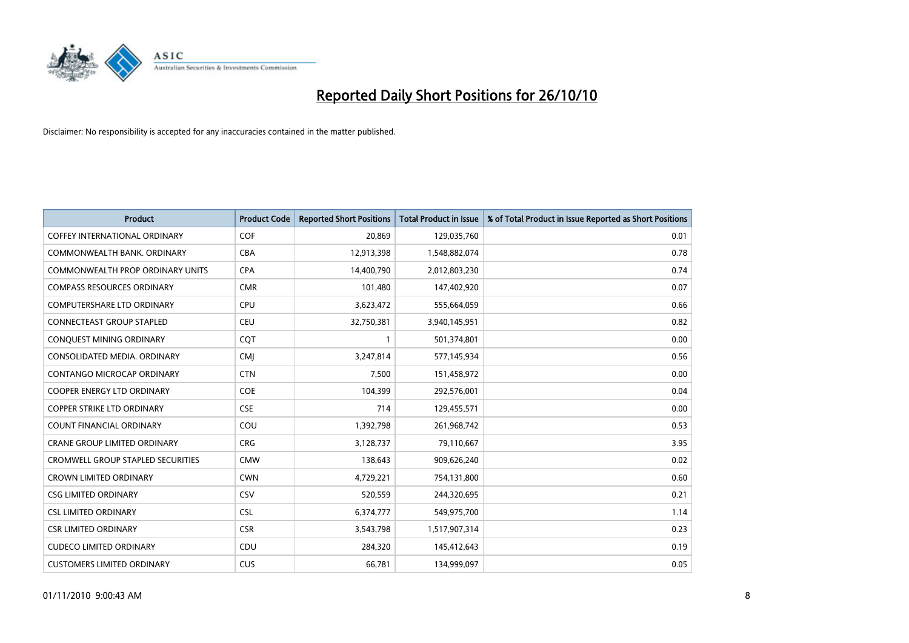

| <b>Product</b>                           | <b>Product Code</b> | <b>Reported Short Positions</b> | Total Product in Issue | % of Total Product in Issue Reported as Short Positions |
|------------------------------------------|---------------------|---------------------------------|------------------------|---------------------------------------------------------|
| <b>COFFEY INTERNATIONAL ORDINARY</b>     | COF                 | 20,869                          | 129,035,760            | 0.01                                                    |
| COMMONWEALTH BANK, ORDINARY              | <b>CBA</b>          | 12,913,398                      | 1,548,882,074          | 0.78                                                    |
| <b>COMMONWEALTH PROP ORDINARY UNITS</b>  | <b>CPA</b>          | 14,400,790                      | 2,012,803,230          | 0.74                                                    |
| <b>COMPASS RESOURCES ORDINARY</b>        | <b>CMR</b>          | 101,480                         | 147,402,920            | 0.07                                                    |
| <b>COMPUTERSHARE LTD ORDINARY</b>        | <b>CPU</b>          | 3,623,472                       | 555,664,059            | 0.66                                                    |
| <b>CONNECTEAST GROUP STAPLED</b>         | <b>CEU</b>          | 32,750,381                      | 3,940,145,951          | 0.82                                                    |
| CONQUEST MINING ORDINARY                 | COT                 |                                 | 501,374,801            | 0.00                                                    |
| CONSOLIDATED MEDIA, ORDINARY             | <b>CMJ</b>          | 3,247,814                       | 577,145,934            | 0.56                                                    |
| CONTANGO MICROCAP ORDINARY               | <b>CTN</b>          | 7,500                           | 151,458,972            | 0.00                                                    |
| <b>COOPER ENERGY LTD ORDINARY</b>        | <b>COE</b>          | 104,399                         | 292,576,001            | 0.04                                                    |
| <b>COPPER STRIKE LTD ORDINARY</b>        | <b>CSE</b>          | 714                             | 129,455,571            | 0.00                                                    |
| <b>COUNT FINANCIAL ORDINARY</b>          | COU                 | 1,392,798                       | 261,968,742            | 0.53                                                    |
| <b>CRANE GROUP LIMITED ORDINARY</b>      | <b>CRG</b>          | 3,128,737                       | 79,110,667             | 3.95                                                    |
| <b>CROMWELL GROUP STAPLED SECURITIES</b> | <b>CMW</b>          | 138,643                         | 909,626,240            | 0.02                                                    |
| <b>CROWN LIMITED ORDINARY</b>            | <b>CWN</b>          | 4,729,221                       | 754,131,800            | 0.60                                                    |
| <b>CSG LIMITED ORDINARY</b>              | CSV                 | 520,559                         | 244,320,695            | 0.21                                                    |
| <b>CSL LIMITED ORDINARY</b>              | <b>CSL</b>          | 6,374,777                       | 549,975,700            | 1.14                                                    |
| <b>CSR LIMITED ORDINARY</b>              | <b>CSR</b>          | 3,543,798                       | 1,517,907,314          | 0.23                                                    |
| <b>CUDECO LIMITED ORDINARY</b>           | CDU                 | 284,320                         | 145,412,643            | 0.19                                                    |
| <b>CUSTOMERS LIMITED ORDINARY</b>        | CUS                 | 66,781                          | 134,999,097            | 0.05                                                    |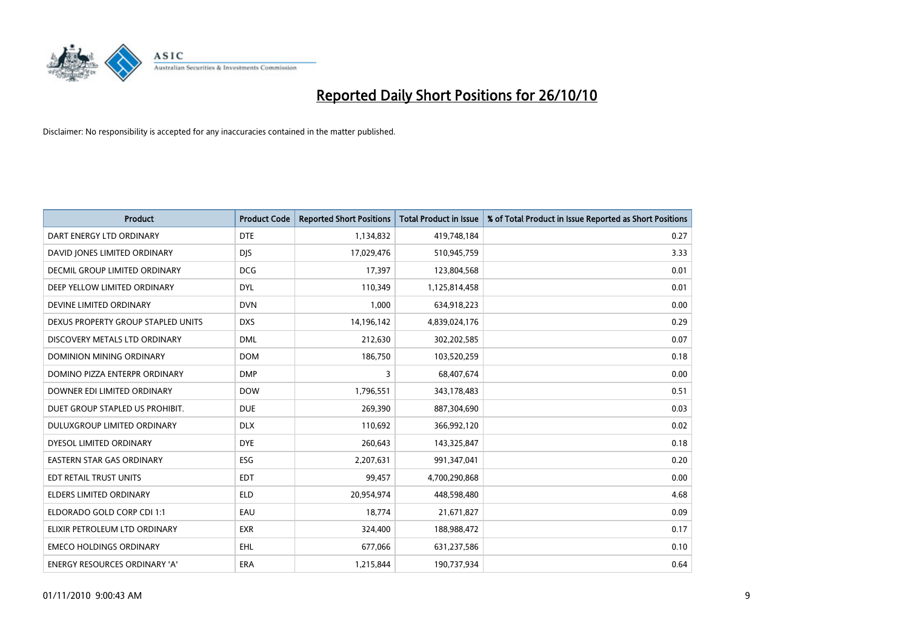

| <b>Product</b>                       | <b>Product Code</b> | <b>Reported Short Positions</b> | Total Product in Issue | % of Total Product in Issue Reported as Short Positions |
|--------------------------------------|---------------------|---------------------------------|------------------------|---------------------------------------------------------|
| DART ENERGY LTD ORDINARY             | <b>DTE</b>          | 1,134,832                       | 419,748,184            | 0.27                                                    |
| DAVID JONES LIMITED ORDINARY         | <b>DIS</b>          | 17,029,476                      | 510,945,759            | 3.33                                                    |
| <b>DECMIL GROUP LIMITED ORDINARY</b> | <b>DCG</b>          | 17,397                          | 123,804,568            | 0.01                                                    |
| DEEP YELLOW LIMITED ORDINARY         | <b>DYL</b>          | 110,349                         | 1,125,814,458          | 0.01                                                    |
| DEVINE LIMITED ORDINARY              | <b>DVN</b>          | 1,000                           | 634,918,223            | 0.00                                                    |
| DEXUS PROPERTY GROUP STAPLED UNITS   | <b>DXS</b>          | 14,196,142                      | 4,839,024,176          | 0.29                                                    |
| DISCOVERY METALS LTD ORDINARY        | <b>DML</b>          | 212,630                         | 302,202,585            | 0.07                                                    |
| DOMINION MINING ORDINARY             | <b>DOM</b>          | 186,750                         | 103,520,259            | 0.18                                                    |
| DOMINO PIZZA ENTERPR ORDINARY        | <b>DMP</b>          | 3                               | 68,407,674             | 0.00                                                    |
| DOWNER EDI LIMITED ORDINARY          | <b>DOW</b>          | 1,796,551                       | 343,178,483            | 0.51                                                    |
| DUET GROUP STAPLED US PROHIBIT.      | <b>DUE</b>          | 269,390                         | 887,304,690            | 0.03                                                    |
| <b>DULUXGROUP LIMITED ORDINARY</b>   | <b>DLX</b>          | 110,692                         | 366,992,120            | 0.02                                                    |
| DYESOL LIMITED ORDINARY              | <b>DYE</b>          | 260,643                         | 143,325,847            | 0.18                                                    |
| <b>EASTERN STAR GAS ORDINARY</b>     | ESG                 | 2,207,631                       | 991,347,041            | 0.20                                                    |
| EDT RETAIL TRUST UNITS               | <b>EDT</b>          | 99,457                          | 4,700,290,868          | 0.00                                                    |
| <b>ELDERS LIMITED ORDINARY</b>       | <b>ELD</b>          | 20,954,974                      | 448,598,480            | 4.68                                                    |
| ELDORADO GOLD CORP CDI 1:1           | EAU                 | 18,774                          | 21,671,827             | 0.09                                                    |
| ELIXIR PETROLEUM LTD ORDINARY        | <b>EXR</b>          | 324,400                         | 188,988,472            | 0.17                                                    |
| <b>EMECO HOLDINGS ORDINARY</b>       | <b>EHL</b>          | 677,066                         | 631,237,586            | 0.10                                                    |
| <b>ENERGY RESOURCES ORDINARY 'A'</b> | <b>ERA</b>          | 1,215,844                       | 190,737,934            | 0.64                                                    |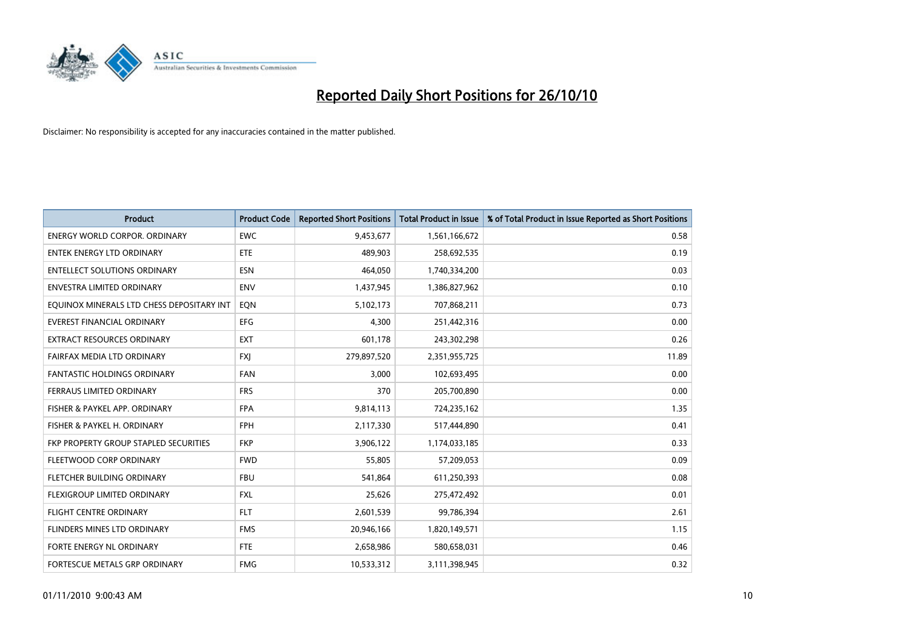

| <b>Product</b>                            | <b>Product Code</b> | <b>Reported Short Positions</b> | Total Product in Issue | % of Total Product in Issue Reported as Short Positions |
|-------------------------------------------|---------------------|---------------------------------|------------------------|---------------------------------------------------------|
| <b>ENERGY WORLD CORPOR, ORDINARY</b>      | <b>EWC</b>          | 9,453,677                       | 1,561,166,672          | 0.58                                                    |
| <b>ENTEK ENERGY LTD ORDINARY</b>          | <b>ETE</b>          | 489.903                         | 258,692,535            | 0.19                                                    |
| <b>ENTELLECT SOLUTIONS ORDINARY</b>       | <b>ESN</b>          | 464,050                         | 1,740,334,200          | 0.03                                                    |
| ENVESTRA LIMITED ORDINARY                 | <b>ENV</b>          | 1,437,945                       | 1,386,827,962          | 0.10                                                    |
| EQUINOX MINERALS LTD CHESS DEPOSITARY INT | <b>EON</b>          | 5,102,173                       | 707,868,211            | 0.73                                                    |
| <b>EVEREST FINANCIAL ORDINARY</b>         | EFG                 | 4,300                           | 251,442,316            | 0.00                                                    |
| <b>EXTRACT RESOURCES ORDINARY</b>         | <b>EXT</b>          | 601,178                         | 243,302,298            | 0.26                                                    |
| FAIRFAX MEDIA LTD ORDINARY                | <b>FXI</b>          | 279,897,520                     | 2,351,955,725          | 11.89                                                   |
| <b>FANTASTIC HOLDINGS ORDINARY</b>        | <b>FAN</b>          | 3,000                           | 102,693,495            | 0.00                                                    |
| FERRAUS LIMITED ORDINARY                  | <b>FRS</b>          | 370                             | 205,700,890            | 0.00                                                    |
| FISHER & PAYKEL APP. ORDINARY             | <b>FPA</b>          | 9,814,113                       | 724,235,162            | 1.35                                                    |
| FISHER & PAYKEL H. ORDINARY               | <b>FPH</b>          | 2,117,330                       | 517,444,890            | 0.41                                                    |
| FKP PROPERTY GROUP STAPLED SECURITIES     | <b>FKP</b>          | 3,906,122                       | 1,174,033,185          | 0.33                                                    |
| FLEETWOOD CORP ORDINARY                   | <b>FWD</b>          | 55.805                          | 57,209,053             | 0.09                                                    |
| FLETCHER BUILDING ORDINARY                | <b>FBU</b>          | 541,864                         | 611,250,393            | 0.08                                                    |
| FLEXIGROUP LIMITED ORDINARY               | <b>FXL</b>          | 25,626                          | 275,472,492            | 0.01                                                    |
| <b>FLIGHT CENTRE ORDINARY</b>             | <b>FLT</b>          | 2,601,539                       | 99,786,394             | 2.61                                                    |
| FLINDERS MINES LTD ORDINARY               | <b>FMS</b>          | 20,946,166                      | 1,820,149,571          | 1.15                                                    |
| FORTE ENERGY NL ORDINARY                  | <b>FTE</b>          | 2,658,986                       | 580,658,031            | 0.46                                                    |
| FORTESCUE METALS GRP ORDINARY             | <b>FMG</b>          | 10.533.312                      | 3,111,398,945          | 0.32                                                    |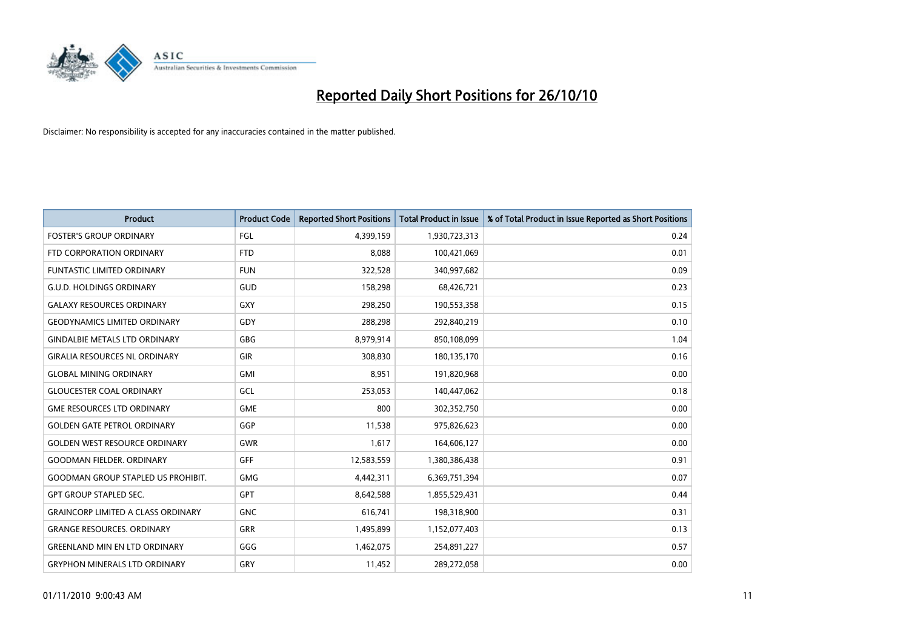

| <b>Product</b>                            | <b>Product Code</b> | <b>Reported Short Positions</b> | <b>Total Product in Issue</b> | % of Total Product in Issue Reported as Short Positions |
|-------------------------------------------|---------------------|---------------------------------|-------------------------------|---------------------------------------------------------|
| <b>FOSTER'S GROUP ORDINARY</b>            | FGL                 | 4,399,159                       | 1,930,723,313                 | 0.24                                                    |
| FTD CORPORATION ORDINARY                  | <b>FTD</b>          | 8,088                           | 100,421,069                   | 0.01                                                    |
| <b>FUNTASTIC LIMITED ORDINARY</b>         | <b>FUN</b>          | 322,528                         | 340,997,682                   | 0.09                                                    |
| <b>G.U.D. HOLDINGS ORDINARY</b>           | GUD                 | 158,298                         | 68,426,721                    | 0.23                                                    |
| <b>GALAXY RESOURCES ORDINARY</b>          | <b>GXY</b>          | 298,250                         | 190,553,358                   | 0.15                                                    |
| <b>GEODYNAMICS LIMITED ORDINARY</b>       | GDY                 | 288,298                         | 292,840,219                   | 0.10                                                    |
| <b>GINDALBIE METALS LTD ORDINARY</b>      | GBG                 | 8,979,914                       | 850,108,099                   | 1.04                                                    |
| <b>GIRALIA RESOURCES NL ORDINARY</b>      | <b>GIR</b>          | 308,830                         | 180,135,170                   | 0.16                                                    |
| <b>GLOBAL MINING ORDINARY</b>             | <b>GMI</b>          | 8,951                           | 191,820,968                   | 0.00                                                    |
| <b>GLOUCESTER COAL ORDINARY</b>           | GCL                 | 253,053                         | 140,447,062                   | 0.18                                                    |
| <b>GME RESOURCES LTD ORDINARY</b>         | <b>GME</b>          | 800                             | 302,352,750                   | 0.00                                                    |
| <b>GOLDEN GATE PETROL ORDINARY</b>        | GGP                 | 11,538                          | 975,826,623                   | 0.00                                                    |
| <b>GOLDEN WEST RESOURCE ORDINARY</b>      | <b>GWR</b>          | 1,617                           | 164,606,127                   | 0.00                                                    |
| <b>GOODMAN FIELDER, ORDINARY</b>          | <b>GFF</b>          | 12,583,559                      | 1,380,386,438                 | 0.91                                                    |
| <b>GOODMAN GROUP STAPLED US PROHIBIT.</b> | <b>GMG</b>          | 4,442,311                       | 6,369,751,394                 | 0.07                                                    |
| <b>GPT GROUP STAPLED SEC.</b>             | <b>GPT</b>          | 8,642,588                       | 1,855,529,431                 | 0.44                                                    |
| <b>GRAINCORP LIMITED A CLASS ORDINARY</b> | <b>GNC</b>          | 616,741                         | 198,318,900                   | 0.31                                                    |
| <b>GRANGE RESOURCES. ORDINARY</b>         | <b>GRR</b>          | 1,495,899                       | 1,152,077,403                 | 0.13                                                    |
| <b>GREENLAND MIN EN LTD ORDINARY</b>      | GGG                 | 1,462,075                       | 254,891,227                   | 0.57                                                    |
| <b>GRYPHON MINERALS LTD ORDINARY</b>      | GRY                 | 11,452                          | 289,272,058                   | 0.00                                                    |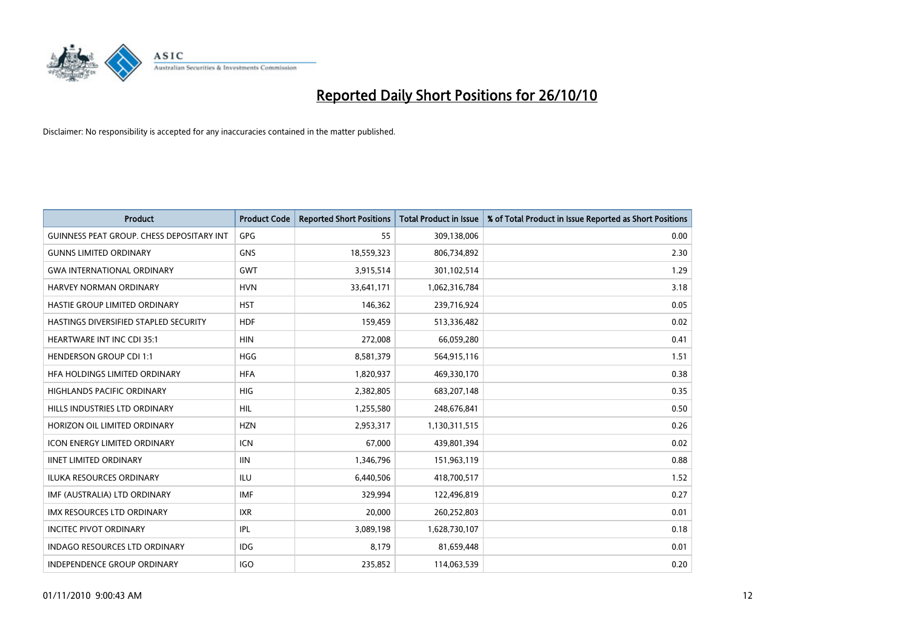

| <b>Product</b>                                   | <b>Product Code</b> | <b>Reported Short Positions</b> | Total Product in Issue | % of Total Product in Issue Reported as Short Positions |
|--------------------------------------------------|---------------------|---------------------------------|------------------------|---------------------------------------------------------|
| <b>GUINNESS PEAT GROUP. CHESS DEPOSITARY INT</b> | GPG                 | 55                              | 309,138,006            | 0.00                                                    |
| <b>GUNNS LIMITED ORDINARY</b>                    | <b>GNS</b>          | 18,559,323                      | 806,734,892            | 2.30                                                    |
| <b>GWA INTERNATIONAL ORDINARY</b>                | <b>GWT</b>          | 3,915,514                       | 301,102,514            | 1.29                                                    |
| <b>HARVEY NORMAN ORDINARY</b>                    | <b>HVN</b>          | 33,641,171                      | 1,062,316,784          | 3.18                                                    |
| HASTIE GROUP LIMITED ORDINARY                    | <b>HST</b>          | 146,362                         | 239,716,924            | 0.05                                                    |
| HASTINGS DIVERSIFIED STAPLED SECURITY            | <b>HDF</b>          | 159,459                         | 513,336,482            | 0.02                                                    |
| <b>HEARTWARE INT INC CDI 35:1</b>                | <b>HIN</b>          | 272,008                         | 66,059,280             | 0.41                                                    |
| <b>HENDERSON GROUP CDI 1:1</b>                   | <b>HGG</b>          | 8,581,379                       | 564,915,116            | 1.51                                                    |
| HFA HOLDINGS LIMITED ORDINARY                    | <b>HFA</b>          | 1,820,937                       | 469,330,170            | 0.38                                                    |
| <b>HIGHLANDS PACIFIC ORDINARY</b>                | <b>HIG</b>          | 2,382,805                       | 683,207,148            | 0.35                                                    |
| HILLS INDUSTRIES LTD ORDINARY                    | <b>HIL</b>          | 1,255,580                       | 248,676,841            | 0.50                                                    |
| HORIZON OIL LIMITED ORDINARY                     | <b>HZN</b>          | 2,953,317                       | 1,130,311,515          | 0.26                                                    |
| ICON ENERGY LIMITED ORDINARY                     | <b>ICN</b>          | 67,000                          | 439,801,394            | 0.02                                                    |
| <b>IINET LIMITED ORDINARY</b>                    | <b>IIN</b>          | 1,346,796                       | 151,963,119            | 0.88                                                    |
| <b>ILUKA RESOURCES ORDINARY</b>                  | <b>ILU</b>          | 6,440,506                       | 418,700,517            | 1.52                                                    |
| IMF (AUSTRALIA) LTD ORDINARY                     | <b>IMF</b>          | 329,994                         | 122,496,819            | 0.27                                                    |
| IMX RESOURCES LTD ORDINARY                       | <b>IXR</b>          | 20,000                          | 260,252,803            | 0.01                                                    |
| <b>INCITEC PIVOT ORDINARY</b>                    | IPL                 | 3,089,198                       | 1,628,730,107          | 0.18                                                    |
| <b>INDAGO RESOURCES LTD ORDINARY</b>             | <b>IDG</b>          | 8,179                           | 81,659,448             | 0.01                                                    |
| INDEPENDENCE GROUP ORDINARY                      | <b>IGO</b>          | 235,852                         | 114,063,539            | 0.20                                                    |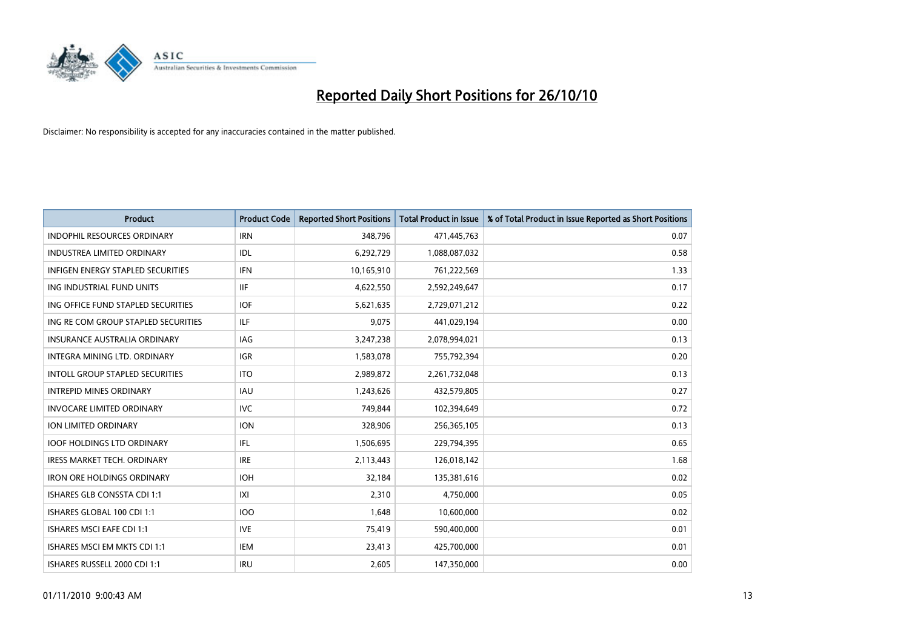

| <b>Product</b>                           | <b>Product Code</b> | <b>Reported Short Positions</b> | <b>Total Product in Issue</b> | % of Total Product in Issue Reported as Short Positions |
|------------------------------------------|---------------------|---------------------------------|-------------------------------|---------------------------------------------------------|
| <b>INDOPHIL RESOURCES ORDINARY</b>       | <b>IRN</b>          | 348,796                         | 471,445,763                   | 0.07                                                    |
| INDUSTREA LIMITED ORDINARY               | IDL                 | 6,292,729                       | 1,088,087,032                 | 0.58                                                    |
| <b>INFIGEN ENERGY STAPLED SECURITIES</b> | <b>IFN</b>          | 10,165,910                      | 761,222,569                   | 1.33                                                    |
| ING INDUSTRIAL FUND UNITS                | <b>IIF</b>          | 4,622,550                       | 2,592,249,647                 | 0.17                                                    |
| ING OFFICE FUND STAPLED SECURITIES       | <b>IOF</b>          | 5,621,635                       | 2,729,071,212                 | 0.22                                                    |
| ING RE COM GROUP STAPLED SECURITIES      | <b>ILF</b>          | 9,075                           | 441,029,194                   | 0.00                                                    |
| <b>INSURANCE AUSTRALIA ORDINARY</b>      | <b>IAG</b>          | 3,247,238                       | 2,078,994,021                 | 0.13                                                    |
| INTEGRA MINING LTD. ORDINARY             | <b>IGR</b>          | 1,583,078                       | 755,792,394                   | 0.20                                                    |
| <b>INTOLL GROUP STAPLED SECURITIES</b>   | <b>ITO</b>          | 2,989,872                       | 2,261,732,048                 | 0.13                                                    |
| <b>INTREPID MINES ORDINARY</b>           | <b>IAU</b>          | 1,243,626                       | 432,579,805                   | 0.27                                                    |
| <b>INVOCARE LIMITED ORDINARY</b>         | <b>IVC</b>          | 749,844                         | 102,394,649                   | 0.72                                                    |
| ION LIMITED ORDINARY                     | <b>ION</b>          | 328,906                         | 256,365,105                   | 0.13                                                    |
| <b>IOOF HOLDINGS LTD ORDINARY</b>        | IFL.                | 1,506,695                       | 229,794,395                   | 0.65                                                    |
| <b>IRESS MARKET TECH. ORDINARY</b>       | <b>IRE</b>          | 2,113,443                       | 126,018,142                   | 1.68                                                    |
| <b>IRON ORE HOLDINGS ORDINARY</b>        | <b>IOH</b>          | 32,184                          | 135,381,616                   | 0.02                                                    |
| <b>ISHARES GLB CONSSTA CDI 1:1</b>       | X                   | 2,310                           | 4,750,000                     | 0.05                                                    |
| ISHARES GLOBAL 100 CDI 1:1               | <b>IOO</b>          | 1,648                           | 10,600,000                    | 0.02                                                    |
| ISHARES MSCI EAFE CDI 1:1                | <b>IVE</b>          | 75,419                          | 590,400,000                   | 0.01                                                    |
| ISHARES MSCI EM MKTS CDI 1:1             | <b>IEM</b>          | 23,413                          | 425,700,000                   | 0.01                                                    |
| ISHARES RUSSELL 2000 CDI 1:1             | <b>IRU</b>          | 2,605                           | 147,350,000                   | 0.00                                                    |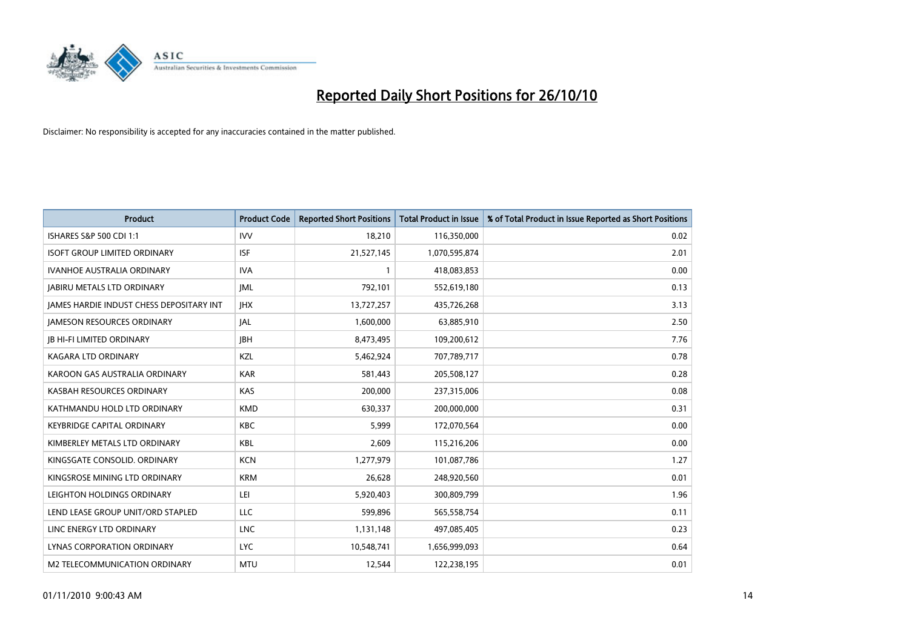

| <b>Product</b>                                  | <b>Product Code</b> | <b>Reported Short Positions</b> | <b>Total Product in Issue</b> | % of Total Product in Issue Reported as Short Positions |
|-------------------------------------------------|---------------------|---------------------------------|-------------------------------|---------------------------------------------------------|
| ISHARES S&P 500 CDI 1:1                         | <b>IVV</b>          | 18,210                          | 116,350,000                   | 0.02                                                    |
| <b>ISOFT GROUP LIMITED ORDINARY</b>             | <b>ISF</b>          | 21,527,145                      | 1,070,595,874                 | 2.01                                                    |
| <b>IVANHOE AUSTRALIA ORDINARY</b>               | <b>IVA</b>          |                                 | 418,083,853                   | 0.00                                                    |
| <b>JABIRU METALS LTD ORDINARY</b>               | <b>JML</b>          | 792,101                         | 552,619,180                   | 0.13                                                    |
| <b>IAMES HARDIE INDUST CHESS DEPOSITARY INT</b> | <b>IHX</b>          | 13,727,257                      | 435,726,268                   | 3.13                                                    |
| <b>JAMESON RESOURCES ORDINARY</b>               | JAL                 | 1,600,000                       | 63,885,910                    | 2.50                                                    |
| <b>JB HI-FI LIMITED ORDINARY</b>                | <b>IBH</b>          | 8,473,495                       | 109,200,612                   | 7.76                                                    |
| <b>KAGARA LTD ORDINARY</b>                      | KZL                 | 5,462,924                       | 707,789,717                   | 0.78                                                    |
| KAROON GAS AUSTRALIA ORDINARY                   | <b>KAR</b>          | 581,443                         | 205,508,127                   | 0.28                                                    |
| KASBAH RESOURCES ORDINARY                       | <b>KAS</b>          | 200,000                         | 237,315,006                   | 0.08                                                    |
| KATHMANDU HOLD LTD ORDINARY                     | <b>KMD</b>          | 630,337                         | 200,000,000                   | 0.31                                                    |
| <b>KEYBRIDGE CAPITAL ORDINARY</b>               | <b>KBC</b>          | 5,999                           | 172,070,564                   | 0.00                                                    |
| KIMBERLEY METALS LTD ORDINARY                   | <b>KBL</b>          | 2.609                           | 115,216,206                   | 0.00                                                    |
| KINGSGATE CONSOLID. ORDINARY                    | <b>KCN</b>          | 1,277,979                       | 101,087,786                   | 1.27                                                    |
| KINGSROSE MINING LTD ORDINARY                   | <b>KRM</b>          | 26,628                          | 248,920,560                   | 0.01                                                    |
| LEIGHTON HOLDINGS ORDINARY                      | LEI                 | 5,920,403                       | 300,809,799                   | 1.96                                                    |
| LEND LEASE GROUP UNIT/ORD STAPLED               | LLC                 | 599,896                         | 565,558,754                   | 0.11                                                    |
| LINC ENERGY LTD ORDINARY                        | <b>LNC</b>          | 1,131,148                       | 497,085,405                   | 0.23                                                    |
| LYNAS CORPORATION ORDINARY                      | <b>LYC</b>          | 10,548,741                      | 1,656,999,093                 | 0.64                                                    |
| M2 TELECOMMUNICATION ORDINARY                   | <b>MTU</b>          | 12,544                          | 122,238,195                   | 0.01                                                    |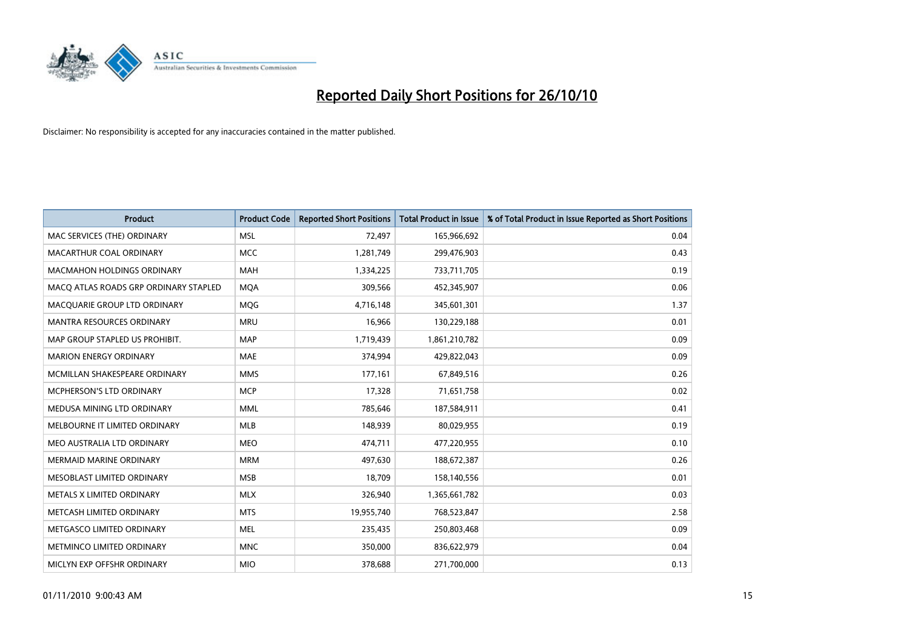

| <b>Product</b>                        | <b>Product Code</b> | <b>Reported Short Positions</b> | Total Product in Issue | % of Total Product in Issue Reported as Short Positions |
|---------------------------------------|---------------------|---------------------------------|------------------------|---------------------------------------------------------|
| MAC SERVICES (THE) ORDINARY           | <b>MSL</b>          | 72,497                          | 165,966,692            | 0.04                                                    |
| MACARTHUR COAL ORDINARY               | <b>MCC</b>          | 1,281,749                       | 299,476,903            | 0.43                                                    |
| <b>MACMAHON HOLDINGS ORDINARY</b>     | <b>MAH</b>          | 1,334,225                       | 733,711,705            | 0.19                                                    |
| MACQ ATLAS ROADS GRP ORDINARY STAPLED | <b>MQA</b>          | 309,566                         | 452,345,907            | 0.06                                                    |
| MACQUARIE GROUP LTD ORDINARY          | <b>MOG</b>          | 4,716,148                       | 345,601,301            | 1.37                                                    |
| <b>MANTRA RESOURCES ORDINARY</b>      | <b>MRU</b>          | 16,966                          | 130,229,188            | 0.01                                                    |
| MAP GROUP STAPLED US PROHIBIT.        | <b>MAP</b>          | 1,719,439                       | 1,861,210,782          | 0.09                                                    |
| <b>MARION ENERGY ORDINARY</b>         | <b>MAE</b>          | 374,994                         | 429,822,043            | 0.09                                                    |
| MCMILLAN SHAKESPEARE ORDINARY         | <b>MMS</b>          | 177,161                         | 67,849,516             | 0.26                                                    |
| MCPHERSON'S LTD ORDINARY              | <b>MCP</b>          | 17,328                          | 71,651,758             | 0.02                                                    |
| MEDUSA MINING LTD ORDINARY            | <b>MML</b>          | 785,646                         | 187,584,911            | 0.41                                                    |
| MELBOURNE IT LIMITED ORDINARY         | MLB                 | 148,939                         | 80,029,955             | 0.19                                                    |
| MEO AUSTRALIA LTD ORDINARY            | <b>MEO</b>          | 474,711                         | 477,220,955            | 0.10                                                    |
| MERMAID MARINE ORDINARY               | <b>MRM</b>          | 497,630                         | 188,672,387            | 0.26                                                    |
| MESOBLAST LIMITED ORDINARY            | <b>MSB</b>          | 18,709                          | 158,140,556            | 0.01                                                    |
| METALS X LIMITED ORDINARY             | <b>MLX</b>          | 326,940                         | 1,365,661,782          | 0.03                                                    |
| METCASH LIMITED ORDINARY              | <b>MTS</b>          | 19,955,740                      | 768,523,847            | 2.58                                                    |
| METGASCO LIMITED ORDINARY             | <b>MEL</b>          | 235,435                         | 250,803,468            | 0.09                                                    |
| METMINCO LIMITED ORDINARY             | <b>MNC</b>          | 350,000                         | 836,622,979            | 0.04                                                    |
| MICLYN EXP OFFSHR ORDINARY            | <b>MIO</b>          | 378,688                         | 271,700,000            | 0.13                                                    |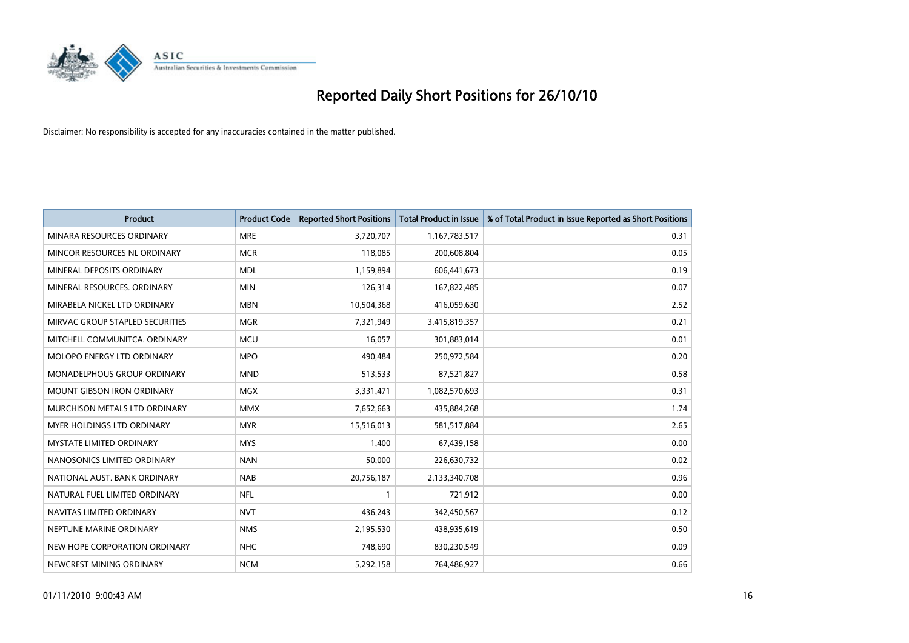

| <b>Product</b>                     | <b>Product Code</b> | <b>Reported Short Positions</b> | <b>Total Product in Issue</b> | % of Total Product in Issue Reported as Short Positions |
|------------------------------------|---------------------|---------------------------------|-------------------------------|---------------------------------------------------------|
| MINARA RESOURCES ORDINARY          | <b>MRE</b>          | 3,720,707                       | 1,167,783,517                 | 0.31                                                    |
| MINCOR RESOURCES NL ORDINARY       | <b>MCR</b>          | 118,085                         | 200,608,804                   | 0.05                                                    |
| MINERAL DEPOSITS ORDINARY          | <b>MDL</b>          | 1,159,894                       | 606,441,673                   | 0.19                                                    |
| MINERAL RESOURCES, ORDINARY        | <b>MIN</b>          | 126,314                         | 167,822,485                   | 0.07                                                    |
| MIRABELA NICKEL LTD ORDINARY       | <b>MBN</b>          | 10,504,368                      | 416,059,630                   | 2.52                                                    |
| MIRVAC GROUP STAPLED SECURITIES    | <b>MGR</b>          | 7,321,949                       | 3,415,819,357                 | 0.21                                                    |
| MITCHELL COMMUNITCA. ORDINARY      | <b>MCU</b>          | 16,057                          | 301,883,014                   | 0.01                                                    |
| MOLOPO ENERGY LTD ORDINARY         | <b>MPO</b>          | 490,484                         | 250,972,584                   | 0.20                                                    |
| <b>MONADELPHOUS GROUP ORDINARY</b> | <b>MND</b>          | 513,533                         | 87,521,827                    | 0.58                                                    |
| <b>MOUNT GIBSON IRON ORDINARY</b>  | <b>MGX</b>          | 3,331,471                       | 1,082,570,693                 | 0.31                                                    |
| MURCHISON METALS LTD ORDINARY      | <b>MMX</b>          | 7,652,663                       | 435,884,268                   | 1.74                                                    |
| MYER HOLDINGS LTD ORDINARY         | <b>MYR</b>          | 15,516,013                      | 581,517,884                   | 2.65                                                    |
| <b>MYSTATE LIMITED ORDINARY</b>    | <b>MYS</b>          | 1,400                           | 67,439,158                    | 0.00                                                    |
| NANOSONICS LIMITED ORDINARY        | <b>NAN</b>          | 50,000                          | 226,630,732                   | 0.02                                                    |
| NATIONAL AUST. BANK ORDINARY       | <b>NAB</b>          | 20,756,187                      | 2,133,340,708                 | 0.96                                                    |
| NATURAL FUEL LIMITED ORDINARY      | <b>NFL</b>          |                                 | 721,912                       | 0.00                                                    |
| NAVITAS LIMITED ORDINARY           | <b>NVT</b>          | 436,243                         | 342,450,567                   | 0.12                                                    |
| NEPTUNE MARINE ORDINARY            | <b>NMS</b>          | 2,195,530                       | 438,935,619                   | 0.50                                                    |
| NEW HOPE CORPORATION ORDINARY      | <b>NHC</b>          | 748,690                         | 830,230,549                   | 0.09                                                    |
| NEWCREST MINING ORDINARY           | <b>NCM</b>          | 5,292,158                       | 764,486,927                   | 0.66                                                    |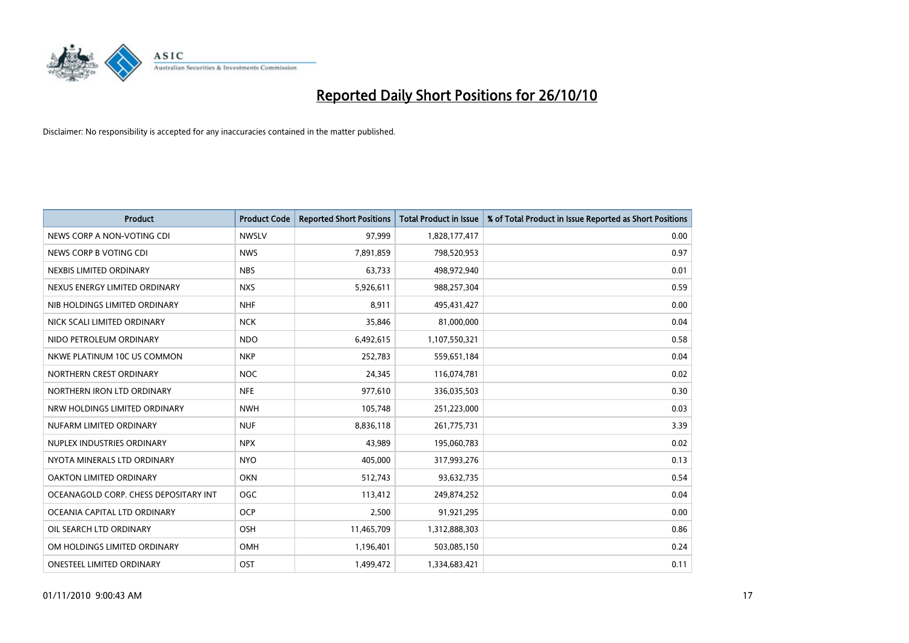

| <b>Product</b>                        | <b>Product Code</b> | <b>Reported Short Positions</b> | <b>Total Product in Issue</b> | % of Total Product in Issue Reported as Short Positions |
|---------------------------------------|---------------------|---------------------------------|-------------------------------|---------------------------------------------------------|
| NEWS CORP A NON-VOTING CDI            | <b>NWSLV</b>        | 97,999                          | 1,828,177,417                 | 0.00                                                    |
| NEWS CORP B VOTING CDI                | <b>NWS</b>          | 7,891,859                       | 798,520,953                   | 0.97                                                    |
| NEXBIS LIMITED ORDINARY               | <b>NBS</b>          | 63,733                          | 498,972,940                   | 0.01                                                    |
| NEXUS ENERGY LIMITED ORDINARY         | <b>NXS</b>          | 5,926,611                       | 988,257,304                   | 0.59                                                    |
| NIB HOLDINGS LIMITED ORDINARY         | <b>NHF</b>          | 8,911                           | 495,431,427                   | 0.00                                                    |
| NICK SCALI LIMITED ORDINARY           | <b>NCK</b>          | 35,846                          | 81,000,000                    | 0.04                                                    |
| NIDO PETROLEUM ORDINARY               | <b>NDO</b>          | 6,492,615                       | 1,107,550,321                 | 0.58                                                    |
| NKWE PLATINUM 10C US COMMON           | <b>NKP</b>          | 252,783                         | 559,651,184                   | 0.04                                                    |
| NORTHERN CREST ORDINARY               | <b>NOC</b>          | 24,345                          | 116,074,781                   | 0.02                                                    |
| NORTHERN IRON LTD ORDINARY            | <b>NFE</b>          | 977,610                         | 336,035,503                   | 0.30                                                    |
| NRW HOLDINGS LIMITED ORDINARY         | <b>NWH</b>          | 105,748                         | 251,223,000                   | 0.03                                                    |
| NUFARM LIMITED ORDINARY               | <b>NUF</b>          | 8,836,118                       | 261,775,731                   | 3.39                                                    |
| NUPLEX INDUSTRIES ORDINARY            | <b>NPX</b>          | 43.989                          | 195,060,783                   | 0.02                                                    |
| NYOTA MINERALS LTD ORDINARY           | <b>NYO</b>          | 405.000                         | 317,993,276                   | 0.13                                                    |
| OAKTON LIMITED ORDINARY               | <b>OKN</b>          | 512,743                         | 93,632,735                    | 0.54                                                    |
| OCEANAGOLD CORP. CHESS DEPOSITARY INT | <b>OGC</b>          | 113,412                         | 249,874,252                   | 0.04                                                    |
| OCEANIA CAPITAL LTD ORDINARY          | <b>OCP</b>          | 2,500                           | 91,921,295                    | 0.00                                                    |
| OIL SEARCH LTD ORDINARY               | <b>OSH</b>          | 11,465,709                      | 1,312,888,303                 | 0.86                                                    |
| OM HOLDINGS LIMITED ORDINARY          | <b>OMH</b>          | 1,196,401                       | 503,085,150                   | 0.24                                                    |
| <b>ONESTEEL LIMITED ORDINARY</b>      | OST                 | 1.499.472                       | 1,334,683,421                 | 0.11                                                    |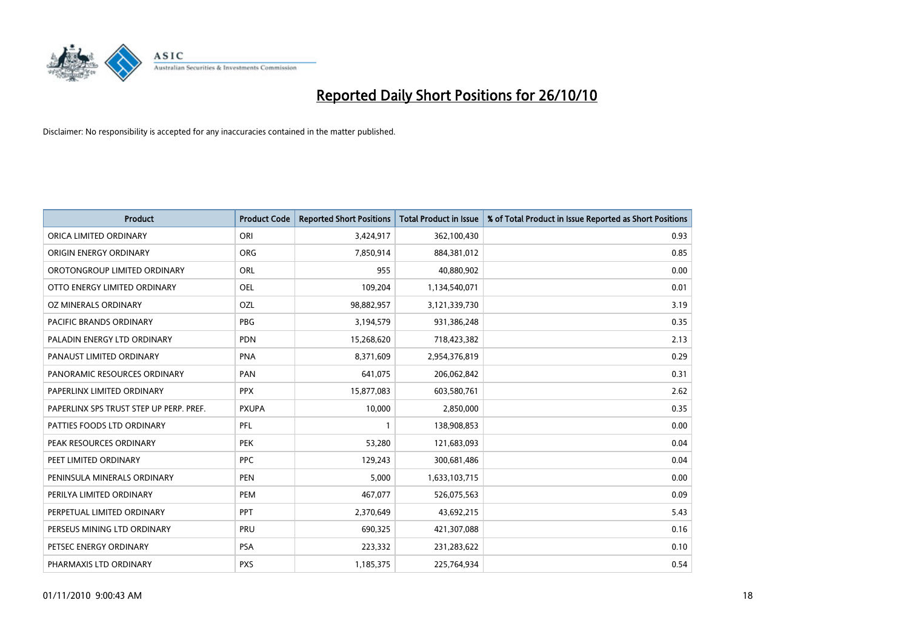

| <b>Product</b>                          | <b>Product Code</b> | <b>Reported Short Positions</b> | <b>Total Product in Issue</b> | % of Total Product in Issue Reported as Short Positions |
|-----------------------------------------|---------------------|---------------------------------|-------------------------------|---------------------------------------------------------|
| ORICA LIMITED ORDINARY                  | ORI                 | 3,424,917                       | 362,100,430                   | 0.93                                                    |
| ORIGIN ENERGY ORDINARY                  | <b>ORG</b>          | 7,850,914                       | 884,381,012                   | 0.85                                                    |
| OROTONGROUP LIMITED ORDINARY            | <b>ORL</b>          | 955                             | 40,880,902                    | 0.00                                                    |
| OTTO ENERGY LIMITED ORDINARY            | OEL                 | 109,204                         | 1,134,540,071                 | 0.01                                                    |
| OZ MINERALS ORDINARY                    | OZL                 | 98,882,957                      | 3,121,339,730                 | 3.19                                                    |
| <b>PACIFIC BRANDS ORDINARY</b>          | <b>PBG</b>          | 3,194,579                       | 931,386,248                   | 0.35                                                    |
| PALADIN ENERGY LTD ORDINARY             | <b>PDN</b>          | 15,268,620                      | 718,423,382                   | 2.13                                                    |
| PANAUST LIMITED ORDINARY                | <b>PNA</b>          | 8,371,609                       | 2,954,376,819                 | 0.29                                                    |
| PANORAMIC RESOURCES ORDINARY            | PAN                 | 641,075                         | 206,062,842                   | 0.31                                                    |
| PAPERLINX LIMITED ORDINARY              | <b>PPX</b>          | 15,877,083                      | 603,580,761                   | 2.62                                                    |
| PAPERLINX SPS TRUST STEP UP PERP. PREF. | <b>PXUPA</b>        | 10,000                          | 2,850,000                     | 0.35                                                    |
| PATTIES FOODS LTD ORDINARY              | PFL                 |                                 | 138,908,853                   | 0.00                                                    |
| PEAK RESOURCES ORDINARY                 | <b>PEK</b>          | 53,280                          | 121,683,093                   | 0.04                                                    |
| PEET LIMITED ORDINARY                   | <b>PPC</b>          | 129,243                         | 300,681,486                   | 0.04                                                    |
| PENINSULA MINERALS ORDINARY             | <b>PEN</b>          | 5,000                           | 1,633,103,715                 | 0.00                                                    |
| PERILYA LIMITED ORDINARY                | PEM                 | 467,077                         | 526,075,563                   | 0.09                                                    |
| PERPETUAL LIMITED ORDINARY              | PPT                 | 2,370,649                       | 43,692,215                    | 5.43                                                    |
| PERSEUS MINING LTD ORDINARY             | PRU                 | 690,325                         | 421,307,088                   | 0.16                                                    |
| PETSEC ENERGY ORDINARY                  | <b>PSA</b>          | 223,332                         | 231,283,622                   | 0.10                                                    |
| PHARMAXIS LTD ORDINARY                  | <b>PXS</b>          | 1,185,375                       | 225,764,934                   | 0.54                                                    |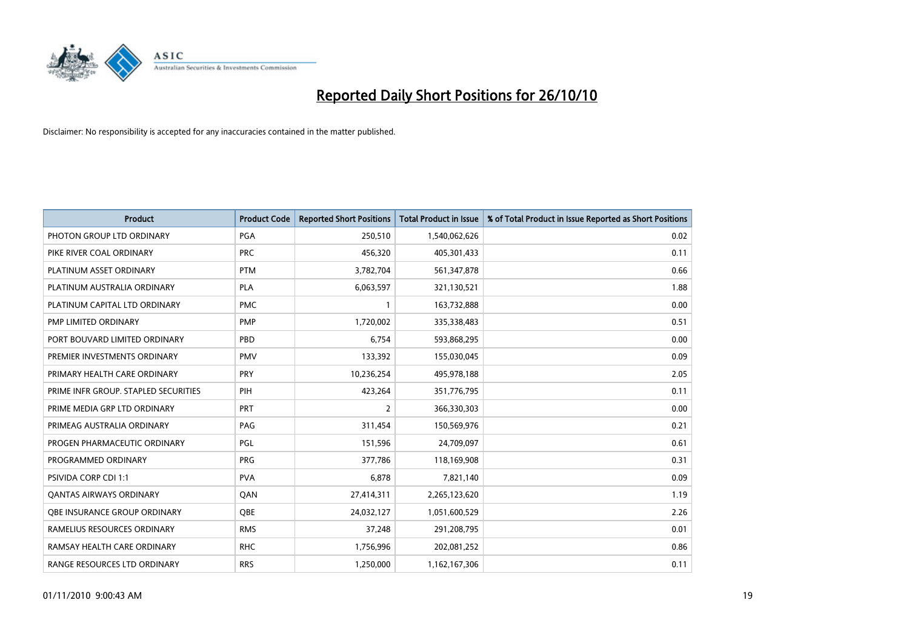

| <b>Product</b>                       | <b>Product Code</b> | <b>Reported Short Positions</b> | Total Product in Issue | % of Total Product in Issue Reported as Short Positions |
|--------------------------------------|---------------------|---------------------------------|------------------------|---------------------------------------------------------|
| PHOTON GROUP LTD ORDINARY            | PGA                 | 250,510                         | 1,540,062,626          | 0.02                                                    |
| PIKE RIVER COAL ORDINARY             | <b>PRC</b>          | 456,320                         | 405,301,433            | 0.11                                                    |
| PLATINUM ASSET ORDINARY              | <b>PTM</b>          | 3,782,704                       | 561,347,878            | 0.66                                                    |
| PLATINUM AUSTRALIA ORDINARY          | <b>PLA</b>          | 6,063,597                       | 321,130,521            | 1.88                                                    |
| PLATINUM CAPITAL LTD ORDINARY        | <b>PMC</b>          |                                 | 163,732,888            | 0.00                                                    |
| PMP LIMITED ORDINARY                 | <b>PMP</b>          | 1,720,002                       | 335,338,483            | 0.51                                                    |
| PORT BOUVARD LIMITED ORDINARY        | PBD                 | 6,754                           | 593,868,295            | 0.00                                                    |
| PREMIER INVESTMENTS ORDINARY         | <b>PMV</b>          | 133,392                         | 155,030,045            | 0.09                                                    |
| PRIMARY HEALTH CARE ORDINARY         | <b>PRY</b>          | 10,236,254                      | 495,978,188            | 2.05                                                    |
| PRIME INFR GROUP. STAPLED SECURITIES | PIH                 | 423,264                         | 351,776,795            | 0.11                                                    |
| PRIME MEDIA GRP LTD ORDINARY         | PRT                 | 2                               | 366,330,303            | 0.00                                                    |
| PRIMEAG AUSTRALIA ORDINARY           | PAG                 | 311,454                         | 150,569,976            | 0.21                                                    |
| PROGEN PHARMACEUTIC ORDINARY         | PGL                 | 151,596                         | 24,709,097             | 0.61                                                    |
| PROGRAMMED ORDINARY                  | <b>PRG</b>          | 377,786                         | 118,169,908            | 0.31                                                    |
| <b>PSIVIDA CORP CDI 1:1</b>          | <b>PVA</b>          | 6,878                           | 7,821,140              | 0.09                                                    |
| <b>QANTAS AIRWAYS ORDINARY</b>       | QAN                 | 27,414,311                      | 2,265,123,620          | 1.19                                                    |
| OBE INSURANCE GROUP ORDINARY         | OBE                 | 24,032,127                      | 1,051,600,529          | 2.26                                                    |
| RAMELIUS RESOURCES ORDINARY          | <b>RMS</b>          | 37,248                          | 291,208,795            | 0.01                                                    |
| RAMSAY HEALTH CARE ORDINARY          | <b>RHC</b>          | 1,756,996                       | 202,081,252            | 0.86                                                    |
| RANGE RESOURCES LTD ORDINARY         | <b>RRS</b>          | 1,250,000                       | 1,162,167,306          | 0.11                                                    |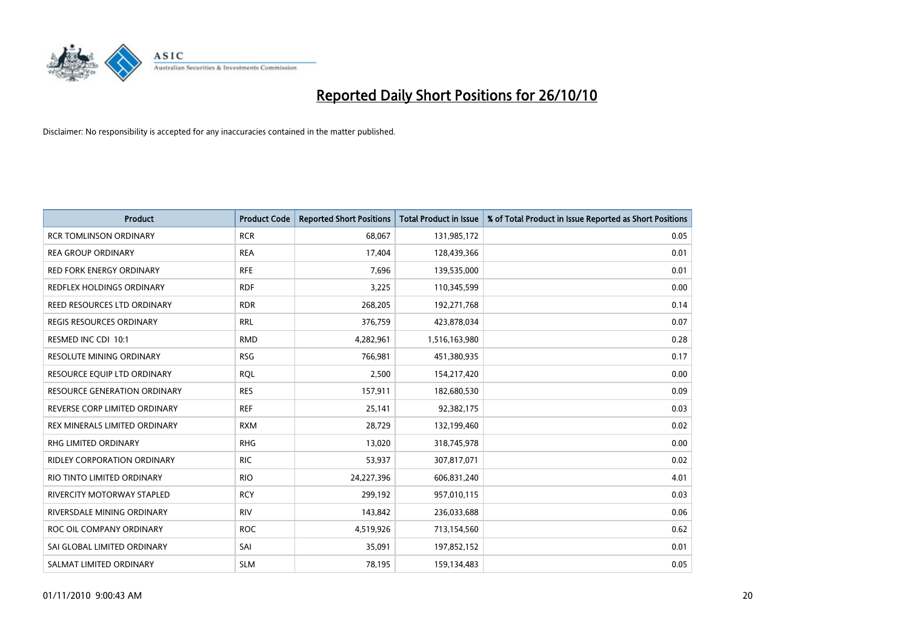

| <b>Product</b>                      | <b>Product Code</b> | <b>Reported Short Positions</b> | Total Product in Issue | % of Total Product in Issue Reported as Short Positions |
|-------------------------------------|---------------------|---------------------------------|------------------------|---------------------------------------------------------|
| <b>RCR TOMLINSON ORDINARY</b>       | <b>RCR</b>          | 68,067                          | 131,985,172            | 0.05                                                    |
| <b>REA GROUP ORDINARY</b>           | <b>REA</b>          | 17,404                          | 128,439,366            | 0.01                                                    |
| <b>RED FORK ENERGY ORDINARY</b>     | <b>RFE</b>          | 7,696                           | 139,535,000            | 0.01                                                    |
| REDFLEX HOLDINGS ORDINARY           | <b>RDF</b>          | 3,225                           | 110,345,599            | 0.00                                                    |
| REED RESOURCES LTD ORDINARY         | <b>RDR</b>          | 268,205                         | 192,271,768            | 0.14                                                    |
| <b>REGIS RESOURCES ORDINARY</b>     | <b>RRL</b>          | 376,759                         | 423,878,034            | 0.07                                                    |
| RESMED INC CDI 10:1                 | <b>RMD</b>          | 4,282,961                       | 1,516,163,980          | 0.28                                                    |
| RESOLUTE MINING ORDINARY            | <b>RSG</b>          | 766,981                         | 451,380,935            | 0.17                                                    |
| RESOURCE EQUIP LTD ORDINARY         | <b>RQL</b>          | 2,500                           | 154,217,420            | 0.00                                                    |
| <b>RESOURCE GENERATION ORDINARY</b> | <b>RES</b>          | 157,911                         | 182,680,530            | 0.09                                                    |
| REVERSE CORP LIMITED ORDINARY       | <b>REF</b>          | 25,141                          | 92,382,175             | 0.03                                                    |
| REX MINERALS LIMITED ORDINARY       | <b>RXM</b>          | 28,729                          | 132,199,460            | 0.02                                                    |
| RHG LIMITED ORDINARY                | <b>RHG</b>          | 13,020                          | 318,745,978            | 0.00                                                    |
| <b>RIDLEY CORPORATION ORDINARY</b>  | <b>RIC</b>          | 53,937                          | 307,817,071            | 0.02                                                    |
| RIO TINTO LIMITED ORDINARY          | <b>RIO</b>          | 24,227,396                      | 606,831,240            | 4.01                                                    |
| RIVERCITY MOTORWAY STAPLED          | <b>RCY</b>          | 299,192                         | 957,010,115            | 0.03                                                    |
| RIVERSDALE MINING ORDINARY          | <b>RIV</b>          | 143,842                         | 236,033,688            | 0.06                                                    |
| ROC OIL COMPANY ORDINARY            | <b>ROC</b>          | 4,519,926                       | 713,154,560            | 0.62                                                    |
| SAI GLOBAL LIMITED ORDINARY         | SAI                 | 35,091                          | 197,852,152            | 0.01                                                    |
| SALMAT LIMITED ORDINARY             | <b>SLM</b>          | 78,195                          | 159,134,483            | 0.05                                                    |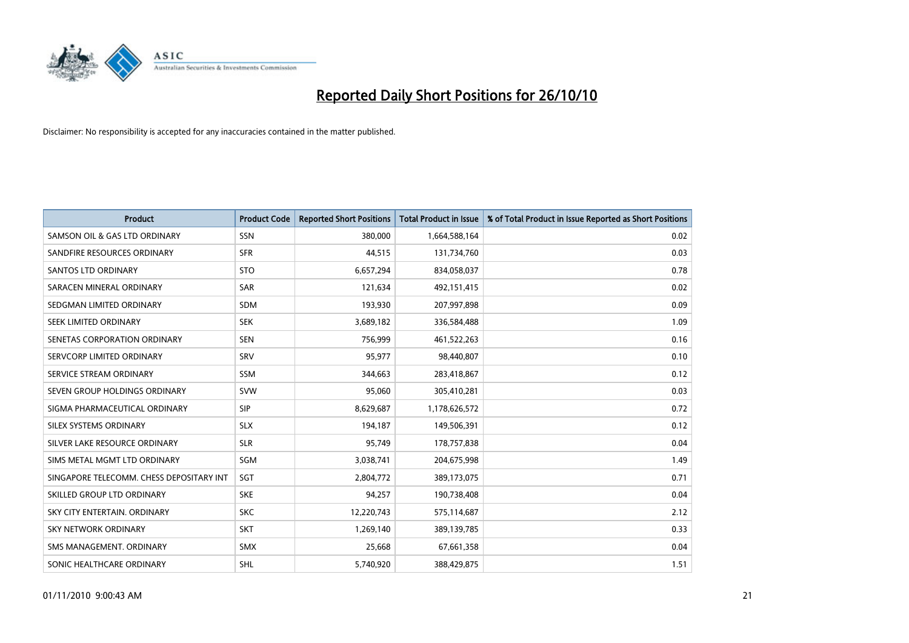

| <b>Product</b>                           | <b>Product Code</b> | <b>Reported Short Positions</b> | <b>Total Product in Issue</b> | % of Total Product in Issue Reported as Short Positions |
|------------------------------------------|---------------------|---------------------------------|-------------------------------|---------------------------------------------------------|
| SAMSON OIL & GAS LTD ORDINARY            | SSN                 | 380.000                         | 1,664,588,164                 | 0.02                                                    |
| SANDFIRE RESOURCES ORDINARY              | <b>SFR</b>          | 44,515                          | 131,734,760                   | 0.03                                                    |
| <b>SANTOS LTD ORDINARY</b>               | <b>STO</b>          | 6,657,294                       | 834,058,037                   | 0.78                                                    |
| SARACEN MINERAL ORDINARY                 | <b>SAR</b>          | 121,634                         | 492,151,415                   | 0.02                                                    |
| SEDGMAN LIMITED ORDINARY                 | <b>SDM</b>          | 193,930                         | 207,997,898                   | 0.09                                                    |
| SEEK LIMITED ORDINARY                    | <b>SEK</b>          | 3,689,182                       | 336,584,488                   | 1.09                                                    |
| SENETAS CORPORATION ORDINARY             | <b>SEN</b>          | 756,999                         | 461,522,263                   | 0.16                                                    |
| SERVCORP LIMITED ORDINARY                | SRV                 | 95,977                          | 98,440,807                    | 0.10                                                    |
| SERVICE STREAM ORDINARY                  | <b>SSM</b>          | 344,663                         | 283,418,867                   | 0.12                                                    |
| SEVEN GROUP HOLDINGS ORDINARY            | <b>SVW</b>          | 95,060                          | 305,410,281                   | 0.03                                                    |
| SIGMA PHARMACEUTICAL ORDINARY            | SIP                 | 8,629,687                       | 1,178,626,572                 | 0.72                                                    |
| SILEX SYSTEMS ORDINARY                   | <b>SLX</b>          | 194,187                         | 149,506,391                   | 0.12                                                    |
| SILVER LAKE RESOURCE ORDINARY            | <b>SLR</b>          | 95,749                          | 178,757,838                   | 0.04                                                    |
| SIMS METAL MGMT LTD ORDINARY             | SGM                 | 3,038,741                       | 204,675,998                   | 1.49                                                    |
| SINGAPORE TELECOMM. CHESS DEPOSITARY INT | SGT                 | 2,804,772                       | 389,173,075                   | 0.71                                                    |
| SKILLED GROUP LTD ORDINARY               | <b>SKE</b>          | 94,257                          | 190,738,408                   | 0.04                                                    |
| SKY CITY ENTERTAIN. ORDINARY             | <b>SKC</b>          | 12,220,743                      | 575,114,687                   | 2.12                                                    |
| SKY NETWORK ORDINARY                     | <b>SKT</b>          | 1,269,140                       | 389,139,785                   | 0.33                                                    |
| SMS MANAGEMENT, ORDINARY                 | <b>SMX</b>          | 25,668                          | 67,661,358                    | 0.04                                                    |
| SONIC HEALTHCARE ORDINARY                | SHL                 | 5,740,920                       | 388,429,875                   | 1.51                                                    |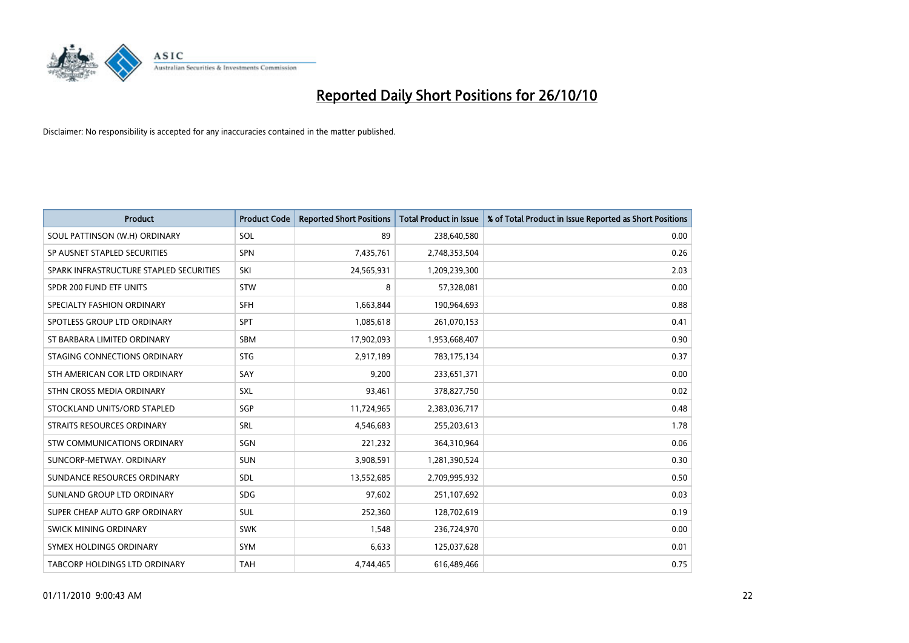

| <b>Product</b>                          | <b>Product Code</b> | <b>Reported Short Positions</b> | <b>Total Product in Issue</b> | % of Total Product in Issue Reported as Short Positions |
|-----------------------------------------|---------------------|---------------------------------|-------------------------------|---------------------------------------------------------|
| SOUL PATTINSON (W.H) ORDINARY           | SOL                 | 89                              | 238,640,580                   | 0.00                                                    |
| SP AUSNET STAPLED SECURITIES            | <b>SPN</b>          | 7,435,761                       | 2,748,353,504                 | 0.26                                                    |
| SPARK INFRASTRUCTURE STAPLED SECURITIES | SKI                 | 24,565,931                      | 1,209,239,300                 | 2.03                                                    |
| SPDR 200 FUND ETF UNITS                 | STW                 | 8                               | 57,328,081                    | 0.00                                                    |
| SPECIALTY FASHION ORDINARY              | <b>SFH</b>          | 1,663,844                       | 190,964,693                   | 0.88                                                    |
| SPOTLESS GROUP LTD ORDINARY             | SPT                 | 1,085,618                       | 261,070,153                   | 0.41                                                    |
| ST BARBARA LIMITED ORDINARY             | <b>SBM</b>          | 17,902,093                      | 1,953,668,407                 | 0.90                                                    |
| STAGING CONNECTIONS ORDINARY            | <b>STG</b>          | 2,917,189                       | 783,175,134                   | 0.37                                                    |
| STH AMERICAN COR LTD ORDINARY           | SAY                 | 9,200                           | 233,651,371                   | 0.00                                                    |
| STHN CROSS MEDIA ORDINARY               | SXL                 | 93,461                          | 378,827,750                   | 0.02                                                    |
| STOCKLAND UNITS/ORD STAPLED             | SGP                 | 11,724,965                      | 2,383,036,717                 | 0.48                                                    |
| STRAITS RESOURCES ORDINARY              | <b>SRL</b>          | 4,546,683                       | 255,203,613                   | 1.78                                                    |
| STW COMMUNICATIONS ORDINARY             | SGN                 | 221,232                         | 364,310,964                   | 0.06                                                    |
| SUNCORP-METWAY, ORDINARY                | <b>SUN</b>          | 3,908,591                       | 1,281,390,524                 | 0.30                                                    |
| SUNDANCE RESOURCES ORDINARY             | <b>SDL</b>          | 13,552,685                      | 2,709,995,932                 | 0.50                                                    |
| SUNLAND GROUP LTD ORDINARY              | <b>SDG</b>          | 97,602                          | 251,107,692                   | 0.03                                                    |
| SUPER CHEAP AUTO GRP ORDINARY           | SUL                 | 252,360                         | 128,702,619                   | 0.19                                                    |
| <b>SWICK MINING ORDINARY</b>            | <b>SWK</b>          | 1,548                           | 236,724,970                   | 0.00                                                    |
| SYMEX HOLDINGS ORDINARY                 | SYM                 | 6,633                           | 125,037,628                   | 0.01                                                    |
| TABCORP HOLDINGS LTD ORDINARY           | <b>TAH</b>          | 4,744,465                       | 616,489,466                   | 0.75                                                    |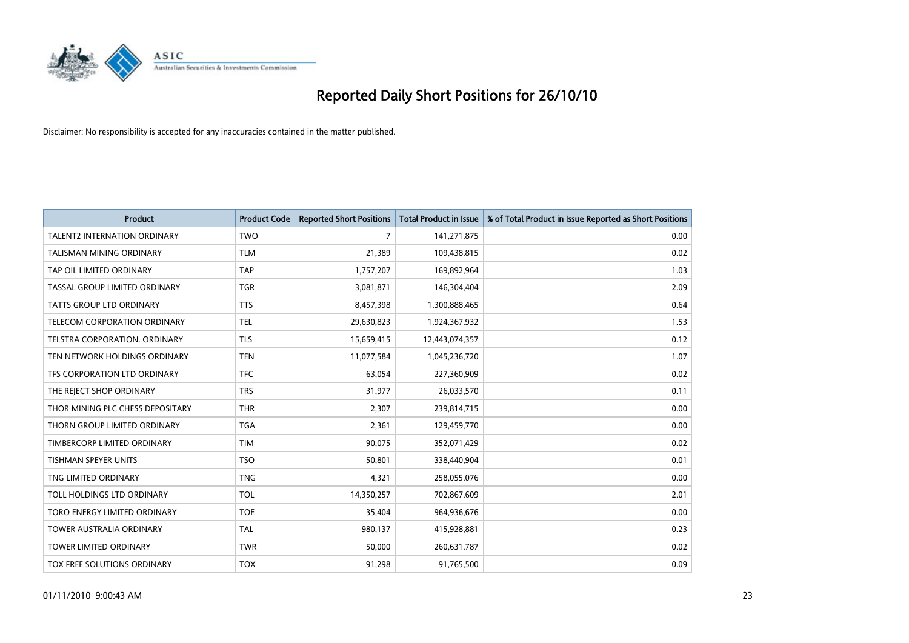

| <b>Product</b>                      | <b>Product Code</b> | <b>Reported Short Positions</b> | <b>Total Product in Issue</b> | % of Total Product in Issue Reported as Short Positions |
|-------------------------------------|---------------------|---------------------------------|-------------------------------|---------------------------------------------------------|
| <b>TALENT2 INTERNATION ORDINARY</b> | <b>TWO</b>          | 7                               | 141,271,875                   | 0.00                                                    |
| TALISMAN MINING ORDINARY            | <b>TLM</b>          | 21,389                          | 109,438,815                   | 0.02                                                    |
| TAP OIL LIMITED ORDINARY            | <b>TAP</b>          | 1,757,207                       | 169,892,964                   | 1.03                                                    |
| TASSAL GROUP LIMITED ORDINARY       | <b>TGR</b>          | 3,081,871                       | 146,304,404                   | 2.09                                                    |
| <b>TATTS GROUP LTD ORDINARY</b>     | <b>TTS</b>          | 8,457,398                       | 1,300,888,465                 | 0.64                                                    |
| TELECOM CORPORATION ORDINARY        | <b>TEL</b>          | 29,630,823                      | 1,924,367,932                 | 1.53                                                    |
| TELSTRA CORPORATION. ORDINARY       | <b>TLS</b>          | 15,659,415                      | 12,443,074,357                | 0.12                                                    |
| TEN NETWORK HOLDINGS ORDINARY       | <b>TEN</b>          | 11,077,584                      | 1,045,236,720                 | 1.07                                                    |
| TFS CORPORATION LTD ORDINARY        | <b>TFC</b>          | 63,054                          | 227,360,909                   | 0.02                                                    |
| THE REJECT SHOP ORDINARY            | <b>TRS</b>          | 31,977                          | 26,033,570                    | 0.11                                                    |
| THOR MINING PLC CHESS DEPOSITARY    | <b>THR</b>          | 2,307                           | 239,814,715                   | 0.00                                                    |
| THORN GROUP LIMITED ORDINARY        | <b>TGA</b>          | 2,361                           | 129,459,770                   | 0.00                                                    |
| TIMBERCORP LIMITED ORDINARY         | <b>TIM</b>          | 90,075                          | 352,071,429                   | 0.02                                                    |
| <b>TISHMAN SPEYER UNITS</b>         | <b>TSO</b>          | 50,801                          | 338,440,904                   | 0.01                                                    |
| TNG LIMITED ORDINARY                | <b>TNG</b>          | 4,321                           | 258,055,076                   | 0.00                                                    |
| TOLL HOLDINGS LTD ORDINARY          | <b>TOL</b>          | 14,350,257                      | 702,867,609                   | 2.01                                                    |
| TORO ENERGY LIMITED ORDINARY        | <b>TOE</b>          | 35,404                          | 964,936,676                   | 0.00                                                    |
| TOWER AUSTRALIA ORDINARY            | <b>TAL</b>          | 980,137                         | 415,928,881                   | 0.23                                                    |
| <b>TOWER LIMITED ORDINARY</b>       | <b>TWR</b>          | 50,000                          | 260,631,787                   | 0.02                                                    |
| TOX FREE SOLUTIONS ORDINARY         | <b>TOX</b>          | 91,298                          | 91,765,500                    | 0.09                                                    |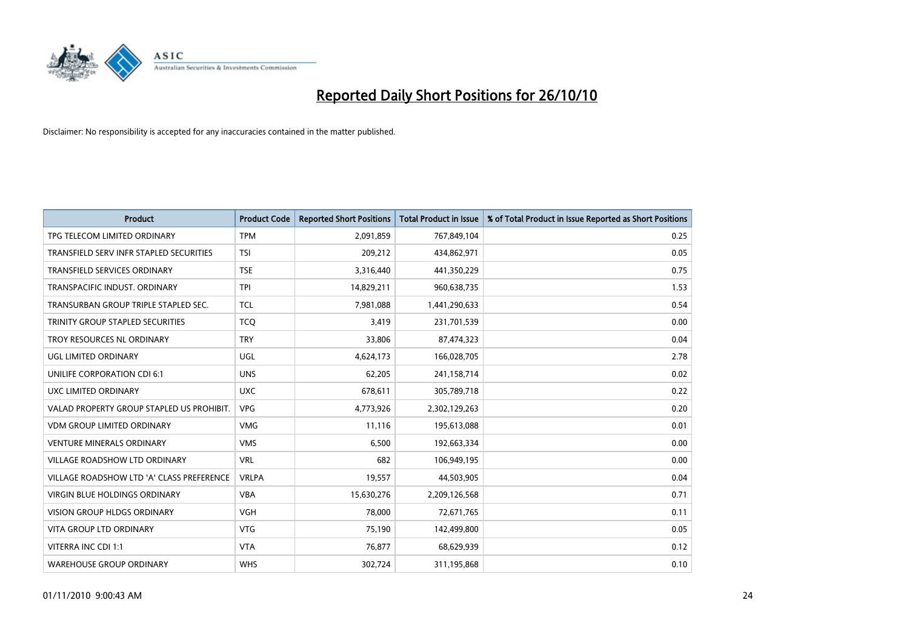

| <b>Product</b>                            | <b>Product Code</b> | <b>Reported Short Positions</b> | <b>Total Product in Issue</b> | % of Total Product in Issue Reported as Short Positions |
|-------------------------------------------|---------------------|---------------------------------|-------------------------------|---------------------------------------------------------|
| TPG TELECOM LIMITED ORDINARY              | <b>TPM</b>          | 2,091,859                       | 767,849,104                   | 0.25                                                    |
| TRANSFIELD SERV INFR STAPLED SECURITIES   | <b>TSI</b>          | 209,212                         | 434,862,971                   | 0.05                                                    |
| <b>TRANSFIELD SERVICES ORDINARY</b>       | <b>TSE</b>          | 3,316,440                       | 441,350,229                   | 0.75                                                    |
| TRANSPACIFIC INDUST. ORDINARY             | <b>TPI</b>          | 14,829,211                      | 960,638,735                   | 1.53                                                    |
| TRANSURBAN GROUP TRIPLE STAPLED SEC.      | <b>TCL</b>          | 7,981,088                       | 1,441,290,633                 | 0.54                                                    |
| TRINITY GROUP STAPLED SECURITIES          | <b>TCQ</b>          | 3,419                           | 231,701,539                   | 0.00                                                    |
| TROY RESOURCES NL ORDINARY                | <b>TRY</b>          | 33,806                          | 87,474,323                    | 0.04                                                    |
| UGL LIMITED ORDINARY                      | UGL                 | 4,624,173                       | 166,028,705                   | 2.78                                                    |
| UNILIFE CORPORATION CDI 6:1               | <b>UNS</b>          | 62,205                          | 241,158,714                   | 0.02                                                    |
| UXC LIMITED ORDINARY                      | <b>UXC</b>          | 678,611                         | 305,789,718                   | 0.22                                                    |
| VALAD PROPERTY GROUP STAPLED US PROHIBIT. | <b>VPG</b>          | 4,773,926                       | 2,302,129,263                 | 0.20                                                    |
| <b>VDM GROUP LIMITED ORDINARY</b>         | <b>VMG</b>          | 11,116                          | 195,613,088                   | 0.01                                                    |
| <b>VENTURE MINERALS ORDINARY</b>          | <b>VMS</b>          | 6,500                           | 192,663,334                   | 0.00                                                    |
| <b>VILLAGE ROADSHOW LTD ORDINARY</b>      | <b>VRL</b>          | 682                             | 106,949,195                   | 0.00                                                    |
| VILLAGE ROADSHOW LTD 'A' CLASS PREFERENCE | <b>VRLPA</b>        | 19,557                          | 44,503,905                    | 0.04                                                    |
| VIRGIN BLUE HOLDINGS ORDINARY             | <b>VBA</b>          | 15,630,276                      | 2,209,126,568                 | 0.71                                                    |
| VISION GROUP HLDGS ORDINARY               | <b>VGH</b>          | 78,000                          | 72,671,765                    | 0.11                                                    |
| <b>VITA GROUP LTD ORDINARY</b>            | <b>VTG</b>          | 75,190                          | 142,499,800                   | 0.05                                                    |
| VITERRA INC CDI 1:1                       | <b>VTA</b>          | 76,877                          | 68,629,939                    | 0.12                                                    |
| <b>WAREHOUSE GROUP ORDINARY</b>           | <b>WHS</b>          | 302,724                         | 311,195,868                   | 0.10                                                    |